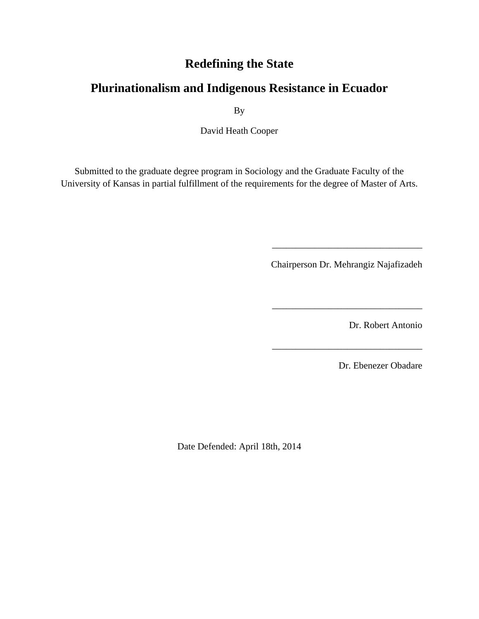## **Redefining the State**

# **Plurinationalism and Indigenous Resistance in Ecuador**

By

David Heath Cooper

Submitted to the graduate degree program in Sociology and the Graduate Faculty of the University of Kansas in partial fulfillment of the requirements for the degree of Master of Arts.

Chairperson Dr. Mehrangiz Najafizadeh

\_\_\_\_\_\_\_\_\_\_\_\_\_\_\_\_\_\_\_\_\_\_\_\_\_\_\_\_\_\_\_\_

\_\_\_\_\_\_\_\_\_\_\_\_\_\_\_\_\_\_\_\_\_\_\_\_\_\_\_\_\_\_\_\_

\_\_\_\_\_\_\_\_\_\_\_\_\_\_\_\_\_\_\_\_\_\_\_\_\_\_\_\_\_\_\_\_

Dr. Robert Antonio

Dr. Ebenezer Obadare

Date Defended: April 18th, 2014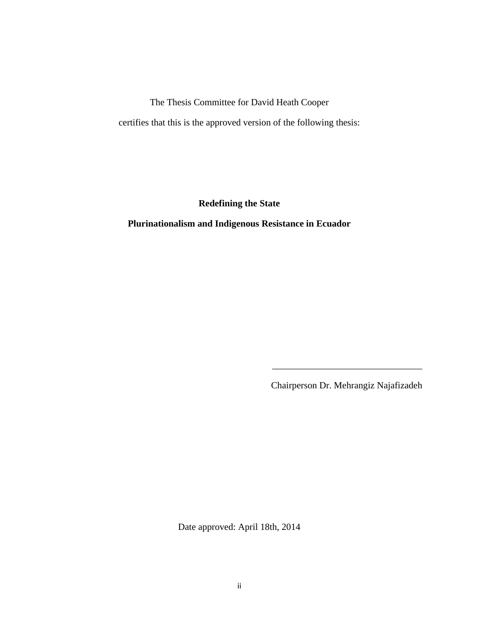The Thesis Committee for David Heath Cooper certifies that this is the approved version of the following thesis:

**Redefining the State**

**Plurinationalism and Indigenous Resistance in Ecuador**

Chairperson Dr. Mehrangiz Najafizadeh

\_\_\_\_\_\_\_\_\_\_\_\_\_\_\_\_\_\_\_\_\_\_\_\_\_\_\_\_\_\_\_\_

Date approved: April 18th, 2014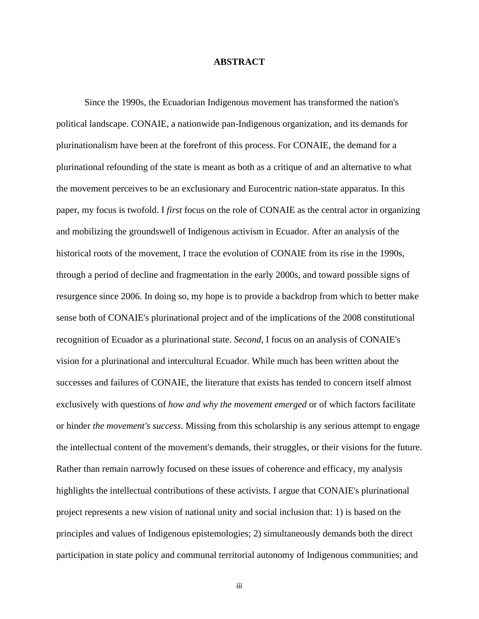#### **ABSTRACT**

Since the 1990s, the Ecuadorian Indigenous movement has transformed the nation's political landscape. CONAIE, a nationwide pan-Indigenous organization, and its demands for plurinationalism have been at the forefront of this process. For CONAIE, the demand for a plurinational refounding of the state is meant as both as a critique of and an alternative to what the movement perceives to be an exclusionary and Eurocentric nation-state apparatus. In this paper, my focus is twofold. I *first* focus on the role of CONAIE as the central actor in organizing and mobilizing the groundswell of Indigenous activism in Ecuador. After an analysis of the historical roots of the movement, I trace the evolution of CONAIE from its rise in the 1990s, through a period of decline and fragmentation in the early 2000s, and toward possible signs of resurgence since 2006. In doing so, my hope is to provide a backdrop from which to better make sense both of CONAIE's plurinational project and of the implications of the 2008 constitutional recognition of Ecuador as a plurinational state. *Second*, I focus on an analysis of CONAIE's vision for a plurinational and intercultural Ecuador. While much has been written about the successes and failures of CONAIE, the literature that exists has tended to concern itself almost exclusively with questions of *how and why the movement emerged* or of which factors facilitate or hinder *the movement's success*. Missing from this scholarship is any serious attempt to engage the intellectual content of the movement's demands, their struggles, or their visions for the future. Rather than remain narrowly focused on these issues of coherence and efficacy, my analysis highlights the intellectual contributions of these activists. I argue that CONAIE's plurinational project represents a new vision of national unity and social inclusion that: 1) is based on the principles and values of Indigenous epistemologies; 2) simultaneously demands both the direct participation in state policy and communal territorial autonomy of Indigenous communities; and

iii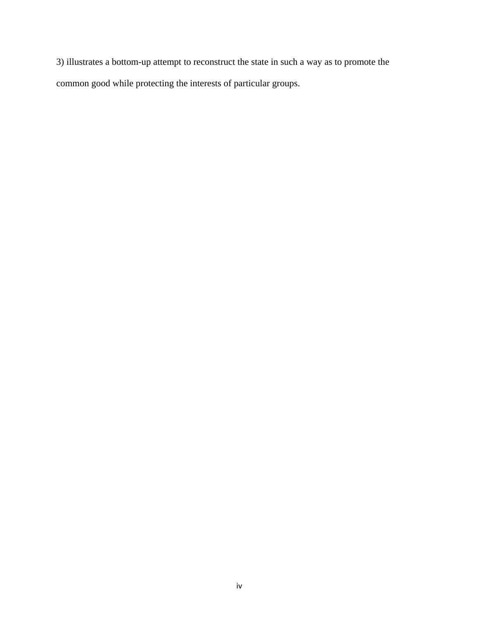3) illustrates a bottom-up attempt to reconstruct the state in such a way as to promote the common good while protecting the interests of particular groups.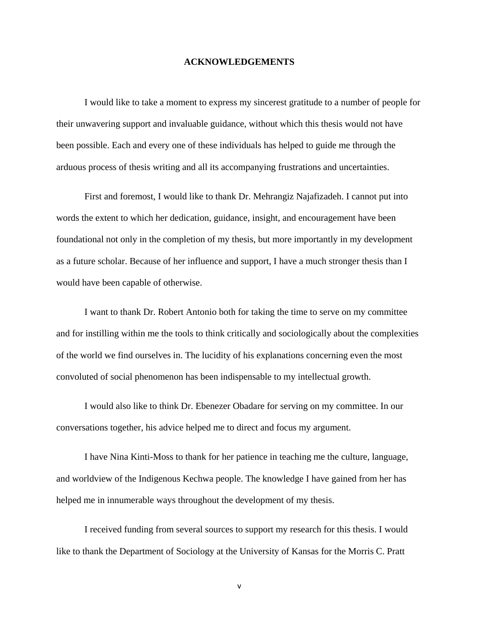#### **ACKNOWLEDGEMENTS**

I would like to take a moment to express my sincerest gratitude to a number of people for their unwavering support and invaluable guidance, without which this thesis would not have been possible. Each and every one of these individuals has helped to guide me through the arduous process of thesis writing and all its accompanying frustrations and uncertainties.

First and foremost, I would like to thank Dr. Mehrangiz Najafizadeh. I cannot put into words the extent to which her dedication, guidance, insight, and encouragement have been foundational not only in the completion of my thesis, but more importantly in my development as a future scholar. Because of her influence and support, I have a much stronger thesis than I would have been capable of otherwise.

I want to thank Dr. Robert Antonio both for taking the time to serve on my committee and for instilling within me the tools to think critically and sociologically about the complexities of the world we find ourselves in. The lucidity of his explanations concerning even the most convoluted of social phenomenon has been indispensable to my intellectual growth.

I would also like to think Dr. Ebenezer Obadare for serving on my committee. In our conversations together, his advice helped me to direct and focus my argument.

I have Nina Kinti-Moss to thank for her patience in teaching me the culture, language, and worldview of the Indigenous Kechwa people. The knowledge I have gained from her has helped me in innumerable ways throughout the development of my thesis.

I received funding from several sources to support my research for this thesis. I would like to thank the Department of Sociology at the University of Kansas for the Morris C. Pratt

v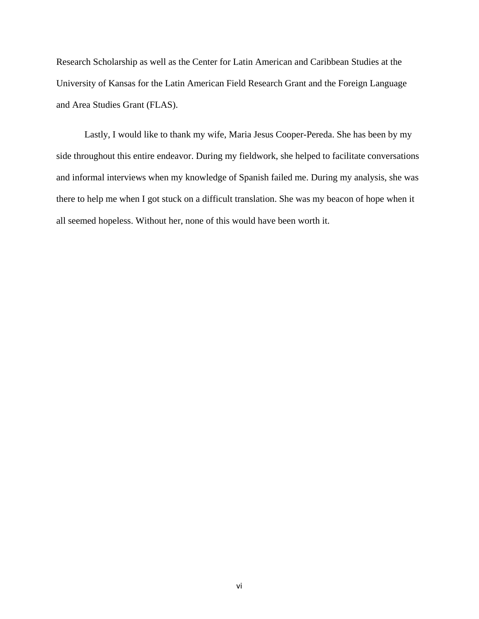Research Scholarship as well as the Center for Latin American and Caribbean Studies at the University of Kansas for the Latin American Field Research Grant and the Foreign Language and Area Studies Grant (FLAS).

Lastly, I would like to thank my wife, Maria Jesus Cooper-Pereda. She has been by my side throughout this entire endeavor. During my fieldwork, she helped to facilitate conversations and informal interviews when my knowledge of Spanish failed me. During my analysis, she was there to help me when I got stuck on a difficult translation. She was my beacon of hope when it all seemed hopeless. Without her, none of this would have been worth it.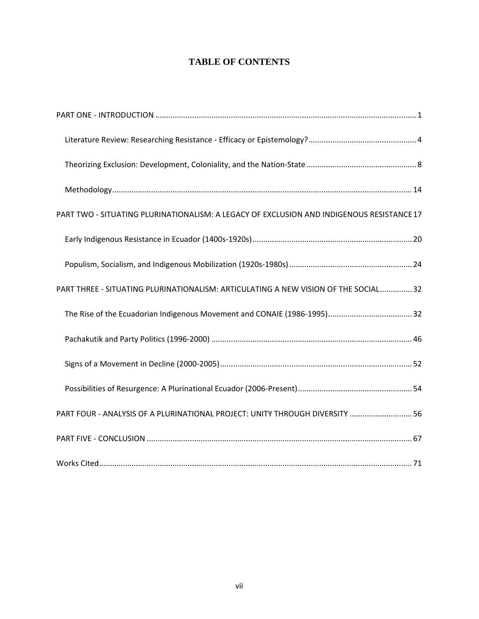### **TABLE OF CONTENTS**

| PART TWO - SITUATING PLURINATIONALISM: A LEGACY OF EXCLUSION AND INDIGENOUS RESISTANCE 17 |
|-------------------------------------------------------------------------------------------|
|                                                                                           |
|                                                                                           |
| PART THREE - SITUATING PLURINATIONALISM: ARTICULATING A NEW VISION OF THE SOCIAL 32       |
|                                                                                           |
|                                                                                           |
|                                                                                           |
|                                                                                           |
| PART FOUR - ANALYSIS OF A PLURINATIONAL PROJECT: UNITY THROUGH DIVERSITY  56              |
|                                                                                           |
|                                                                                           |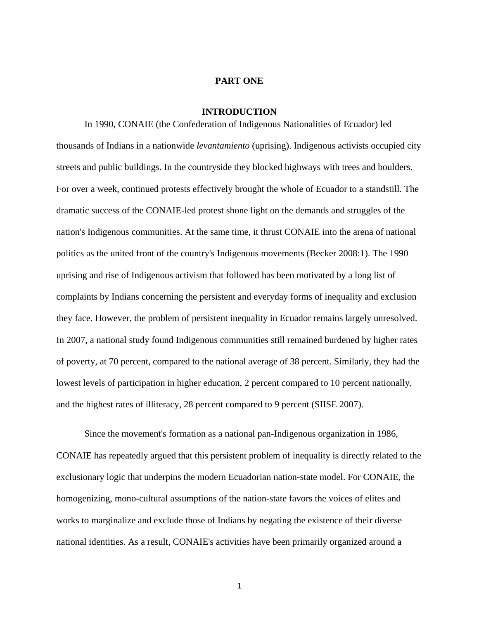#### **PART ONE**

#### **INTRODUCTION**

<span id="page-7-0"></span>In 1990, CONAIE (the Confederation of Indigenous Nationalities of Ecuador) led thousands of Indians in a nationwide *levantamiento* (uprising). Indigenous activists occupied city streets and public buildings. In the countryside they blocked highways with trees and boulders. For over a week, continued protests effectively brought the whole of Ecuador to a standstill. The dramatic success of the CONAIE-led protest shone light on the demands and struggles of the nation's Indigenous communities. At the same time, it thrust CONAIE into the arena of national politics as the united front of the country's Indigenous movements (Becker 2008:1). The 1990 uprising and rise of Indigenous activism that followed has been motivated by a long list of complaints by Indians concerning the persistent and everyday forms of inequality and exclusion they face. However, the problem of persistent inequality in Ecuador remains largely unresolved. In 2007, a national study found Indigenous communities still remained burdened by higher rates of poverty, at 70 percent, compared to the national average of 38 percent. Similarly, they had the lowest levels of participation in higher education, 2 percent compared to 10 percent nationally, and the highest rates of illiteracy, 28 percent compared to 9 percent (SIISE 2007).

Since the movement's formation as a national pan-Indigenous organization in 1986, CONAIE has repeatedly argued that this persistent problem of inequality is directly related to the exclusionary logic that underpins the modern Ecuadorian nation-state model. For CONAIE, the homogenizing, mono-cultural assumptions of the nation-state favors the voices of elites and works to marginalize and exclude those of Indians by negating the existence of their diverse national identities. As a result, CONAIE's activities have been primarily organized around a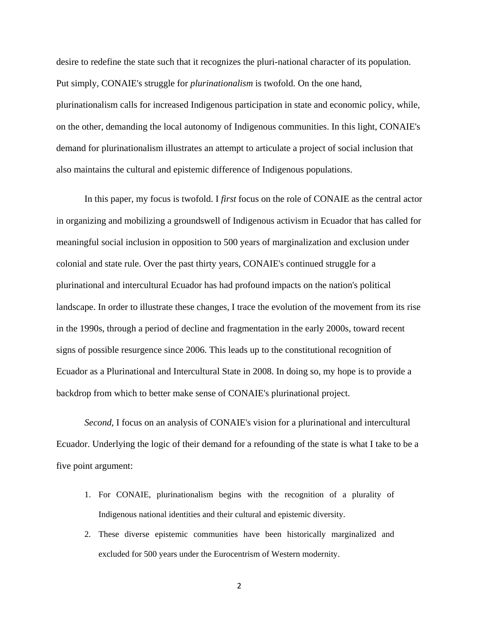desire to redefine the state such that it recognizes the pluri-national character of its population. Put simply, CONAIE's struggle for *plurinationalism* is twofold. On the one hand, plurinationalism calls for increased Indigenous participation in state and economic policy, while, on the other, demanding the local autonomy of Indigenous communities. In this light, CONAIE's demand for plurinationalism illustrates an attempt to articulate a project of social inclusion that also maintains the cultural and epistemic difference of Indigenous populations.

In this paper, my focus is twofold. I *first* focus on the role of CONAIE as the central actor in organizing and mobilizing a groundswell of Indigenous activism in Ecuador that has called for meaningful social inclusion in opposition to 500 years of marginalization and exclusion under colonial and state rule. Over the past thirty years, CONAIE's continued struggle for a plurinational and intercultural Ecuador has had profound impacts on the nation's political landscape. In order to illustrate these changes, I trace the evolution of the movement from its rise in the 1990s, through a period of decline and fragmentation in the early 2000s, toward recent signs of possible resurgence since 2006. This leads up to the constitutional recognition of Ecuador as a Plurinational and Intercultural State in 2008. In doing so, my hope is to provide a backdrop from which to better make sense of CONAIE's plurinational project.

*Second*, I focus on an analysis of CONAIE's vision for a plurinational and intercultural Ecuador. Underlying the logic of their demand for a refounding of the state is what I take to be a five point argument:

- 1. For CONAIE, plurinationalism begins with the recognition of a plurality of Indigenous national identities and their cultural and epistemic diversity.
- 2. These diverse epistemic communities have been historically marginalized and excluded for 500 years under the Eurocentrism of Western modernity.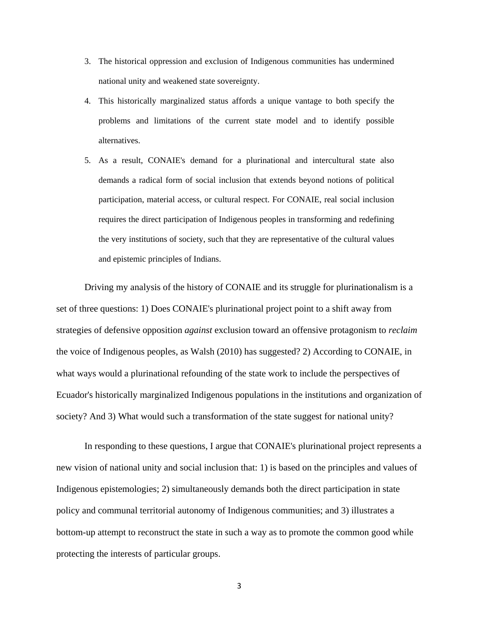- 3. The historical oppression and exclusion of Indigenous communities has undermined national unity and weakened state sovereignty.
- 4. This historically marginalized status affords a unique vantage to both specify the problems and limitations of the current state model and to identify possible alternatives.
- 5. As a result, CONAIE's demand for a plurinational and intercultural state also demands a radical form of social inclusion that extends beyond notions of political participation, material access, or cultural respect. For CONAIE, real social inclusion requires the direct participation of Indigenous peoples in transforming and redefining the very institutions of society, such that they are representative of the cultural values and epistemic principles of Indians.

Driving my analysis of the history of CONAIE and its struggle for plurinationalism is a set of three questions: 1) Does CONAIE's plurinational project point to a shift away from strategies of defensive opposition *against* exclusion toward an offensive protagonism to *reclaim* the voice of Indigenous peoples, as Walsh (2010) has suggested? 2) According to CONAIE, in what ways would a plurinational refounding of the state work to include the perspectives of Ecuador's historically marginalized Indigenous populations in the institutions and organization of society? And 3) What would such a transformation of the state suggest for national unity?

In responding to these questions, I argue that CONAIE's plurinational project represents a new vision of national unity and social inclusion that: 1) is based on the principles and values of Indigenous epistemologies; 2) simultaneously demands both the direct participation in state policy and communal territorial autonomy of Indigenous communities; and 3) illustrates a bottom-up attempt to reconstruct the state in such a way as to promote the common good while protecting the interests of particular groups.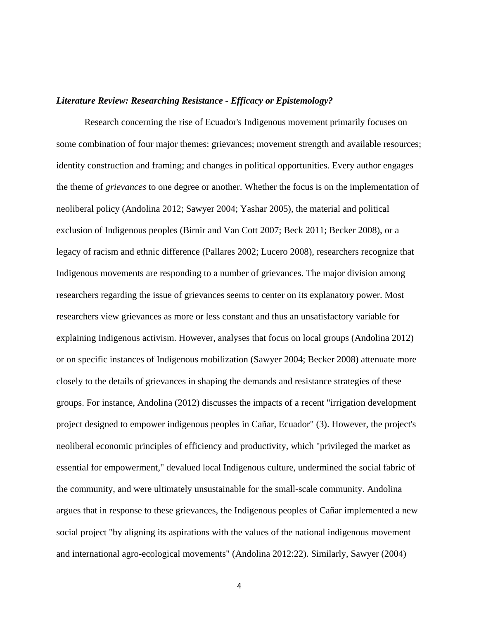#### <span id="page-10-0"></span>*Literature Review: Researching Resistance - Efficacy or Epistemology?*

Research concerning the rise of Ecuador's Indigenous movement primarily focuses on some combination of four major themes: grievances; movement strength and available resources; identity construction and framing; and changes in political opportunities. Every author engages the theme of *grievances* to one degree or another. Whether the focus is on the implementation of neoliberal policy (Andolina 2012; Sawyer 2004; Yashar 2005), the material and political exclusion of Indigenous peoples (Birnir and Van Cott 2007; Beck 2011; Becker 2008), or a legacy of racism and ethnic difference (Pallares 2002; Lucero 2008), researchers recognize that Indigenous movements are responding to a number of grievances. The major division among researchers regarding the issue of grievances seems to center on its explanatory power. Most researchers view grievances as more or less constant and thus an unsatisfactory variable for explaining Indigenous activism. However, analyses that focus on local groups (Andolina 2012) or on specific instances of Indigenous mobilization (Sawyer 2004; Becker 2008) attenuate more closely to the details of grievances in shaping the demands and resistance strategies of these groups. For instance, Andolina (2012) discusses the impacts of a recent "irrigation development project designed to empower indigenous peoples in Cañar, Ecuador" (3). However, the project's neoliberal economic principles of efficiency and productivity, which "privileged the market as essential for empowerment," devalued local Indigenous culture, undermined the social fabric of the community, and were ultimately unsustainable for the small-scale community. Andolina argues that in response to these grievances, the Indigenous peoples of Cañar implemented a new social project "by aligning its aspirations with the values of the national indigenous movement and international agro-ecological movements" (Andolina 2012:22). Similarly, Sawyer (2004)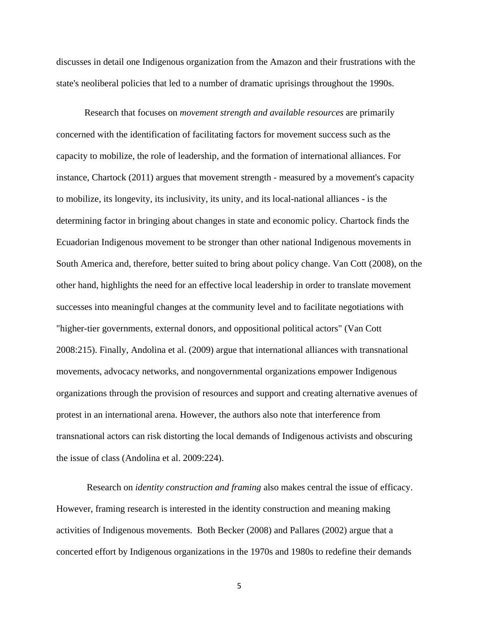discusses in detail one Indigenous organization from the Amazon and their frustrations with the state's neoliberal policies that led to a number of dramatic uprisings throughout the 1990s.

Research that focuses on *movement strength and available resources* are primarily concerned with the identification of facilitating factors for movement success such as the capacity to mobilize, the role of leadership, and the formation of international alliances. For instance, Chartock (2011) argues that movement strength - measured by a movement's capacity to mobilize, its longevity, its inclusivity, its unity, and its local-national alliances - is the determining factor in bringing about changes in state and economic policy. Chartock finds the Ecuadorian Indigenous movement to be stronger than other national Indigenous movements in South America and, therefore, better suited to bring about policy change. Van Cott (2008), on the other hand, highlights the need for an effective local leadership in order to translate movement successes into meaningful changes at the community level and to facilitate negotiations with "higher-tier governments, external donors, and oppositional political actors" (Van Cott 2008:215). Finally, Andolina et al. (2009) argue that international alliances with transnational movements, advocacy networks, and nongovernmental organizations empower Indigenous organizations through the provision of resources and support and creating alternative avenues of protest in an international arena. However, the authors also note that interference from transnational actors can risk distorting the local demands of Indigenous activists and obscuring the issue of class (Andolina et al. 2009:224).

Research on *identity construction and framing* also makes central the issue of efficacy. However, framing research is interested in the identity construction and meaning making activities of Indigenous movements. Both Becker (2008) and Pallares (2002) argue that a concerted effort by Indigenous organizations in the 1970s and 1980s to redefine their demands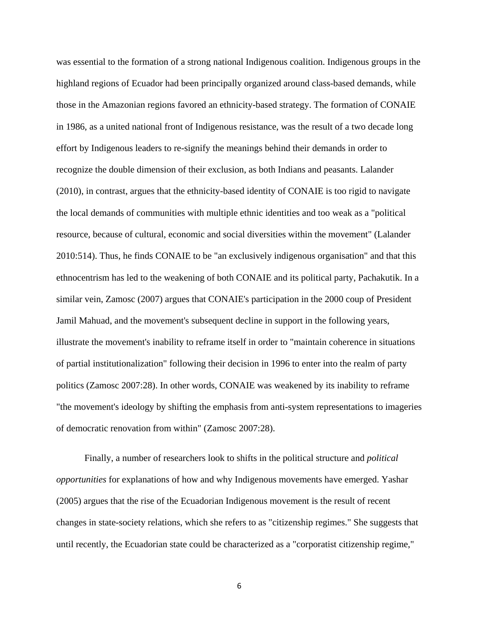was essential to the formation of a strong national Indigenous coalition. Indigenous groups in the highland regions of Ecuador had been principally organized around class-based demands, while those in the Amazonian regions favored an ethnicity-based strategy. The formation of CONAIE in 1986, as a united national front of Indigenous resistance, was the result of a two decade long effort by Indigenous leaders to re-signify the meanings behind their demands in order to recognize the double dimension of their exclusion, as both Indians and peasants. Lalander (2010), in contrast, argues that the ethnicity-based identity of CONAIE is too rigid to navigate the local demands of communities with multiple ethnic identities and too weak as a "political resource, because of cultural, economic and social diversities within the movement" (Lalander 2010:514). Thus, he finds CONAIE to be "an exclusively indigenous organisation" and that this ethnocentrism has led to the weakening of both CONAIE and its political party, Pachakutik. In a similar vein, Zamosc (2007) argues that CONAIE's participation in the 2000 coup of President Jamil Mahuad, and the movement's subsequent decline in support in the following years, illustrate the movement's inability to reframe itself in order to "maintain coherence in situations of partial institutionalization" following their decision in 1996 to enter into the realm of party politics (Zamosc 2007:28). In other words, CONAIE was weakened by its inability to reframe "the movement's ideology by shifting the emphasis from anti-system representations to imageries of democratic renovation from within" (Zamosc 2007:28).

Finally, a number of researchers look to shifts in the political structure and *political opportunities* for explanations of how and why Indigenous movements have emerged. Yashar (2005) argues that the rise of the Ecuadorian Indigenous movement is the result of recent changes in state-society relations, which she refers to as "citizenship regimes." She suggests that until recently, the Ecuadorian state could be characterized as a "corporatist citizenship regime,"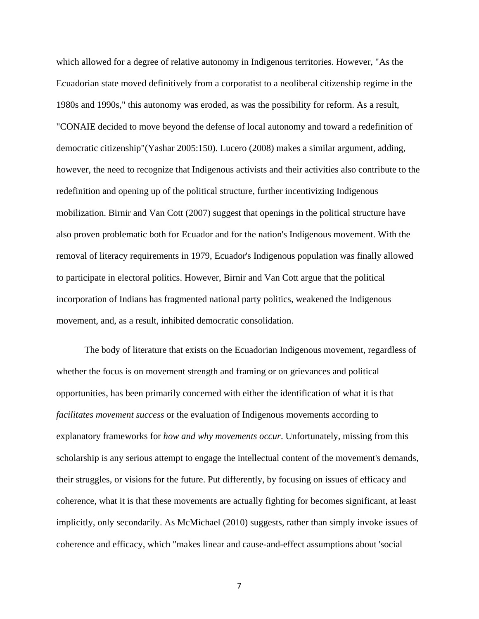which allowed for a degree of relative autonomy in Indigenous territories. However, "As the Ecuadorian state moved definitively from a corporatist to a neoliberal citizenship regime in the 1980s and 1990s," this autonomy was eroded, as was the possibility for reform. As a result, "CONAIE decided to move beyond the defense of local autonomy and toward a redefinition of democratic citizenship"(Yashar 2005:150). Lucero (2008) makes a similar argument, adding, however, the need to recognize that Indigenous activists and their activities also contribute to the redefinition and opening up of the political structure, further incentivizing Indigenous mobilization. Birnir and Van Cott (2007) suggest that openings in the political structure have also proven problematic both for Ecuador and for the nation's Indigenous movement. With the removal of literacy requirements in 1979, Ecuador's Indigenous population was finally allowed to participate in electoral politics. However, Birnir and Van Cott argue that the political incorporation of Indians has fragmented national party politics, weakened the Indigenous movement, and, as a result, inhibited democratic consolidation.

The body of literature that exists on the Ecuadorian Indigenous movement, regardless of whether the focus is on movement strength and framing or on grievances and political opportunities, has been primarily concerned with either the identification of what it is that *facilitates movement success* or the evaluation of Indigenous movements according to explanatory frameworks for *how and why movements occur*. Unfortunately, missing from this scholarship is any serious attempt to engage the intellectual content of the movement's demands, their struggles, or visions for the future. Put differently, by focusing on issues of efficacy and coherence, what it is that these movements are actually fighting for becomes significant, at least implicitly, only secondarily. As McMichael (2010) suggests, rather than simply invoke issues of coherence and efficacy, which "makes linear and cause-and-effect assumptions about 'social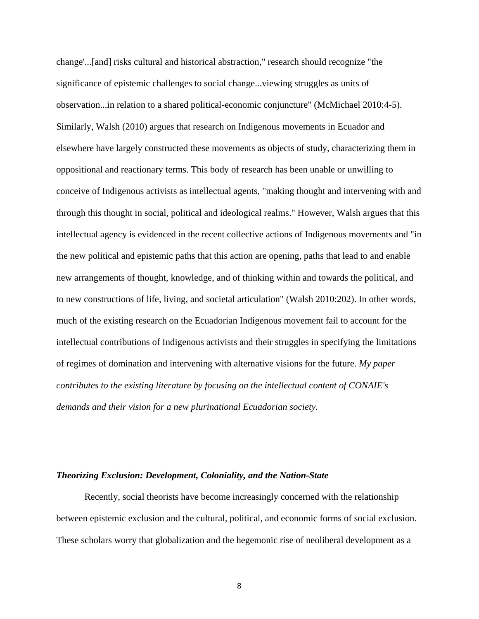change'...[and] risks cultural and historical abstraction," research should recognize "the significance of epistemic challenges to social change...viewing struggles as units of observation...in relation to a shared political-economic conjuncture" (McMichael 2010:4-5). Similarly, Walsh (2010) argues that research on Indigenous movements in Ecuador and elsewhere have largely constructed these movements as objects of study, characterizing them in oppositional and reactionary terms. This body of research has been unable or unwilling to conceive of Indigenous activists as intellectual agents, "making thought and intervening with and through this thought in social, political and ideological realms." However, Walsh argues that this intellectual agency is evidenced in the recent collective actions of Indigenous movements and "in the new political and epistemic paths that this action are opening, paths that lead to and enable new arrangements of thought, knowledge, and of thinking within and towards the political, and to new constructions of life, living, and societal articulation" (Walsh 2010:202). In other words, much of the existing research on the Ecuadorian Indigenous movement fail to account for the intellectual contributions of Indigenous activists and their struggles in specifying the limitations of regimes of domination and intervening with alternative visions for the future. *My paper contributes to the existing literature by focusing on the intellectual content of CONAIE's demands and their vision for a new plurinational Ecuadorian society.*

#### <span id="page-14-0"></span>*Theorizing Exclusion: Development, Coloniality, and the Nation-State*

Recently, social theorists have become increasingly concerned with the relationship between epistemic exclusion and the cultural, political, and economic forms of social exclusion. These scholars worry that globalization and the hegemonic rise of neoliberal development as a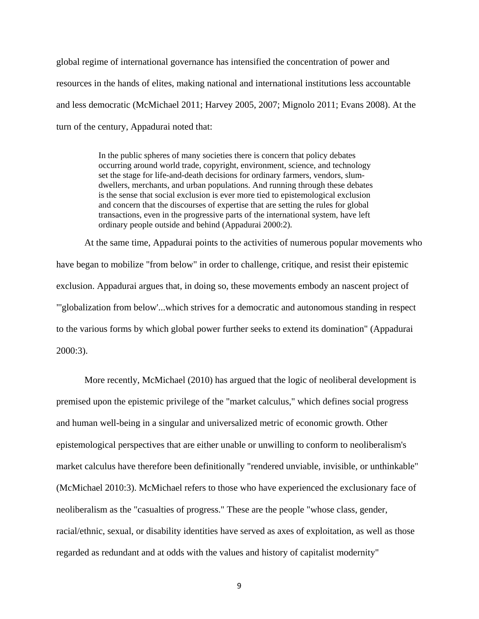global regime of international governance has intensified the concentration of power and resources in the hands of elites, making national and international institutions less accountable and less democratic (McMichael 2011; Harvey 2005, 2007; Mignolo 2011; Evans 2008). At the turn of the century, Appadurai noted that:

> In the public spheres of many societies there is concern that policy debates occurring around world trade, copyright, environment, science, and technology set the stage for life-and-death decisions for ordinary farmers, vendors, slumdwellers, merchants, and urban populations. And running through these debates is the sense that social exclusion is ever more tied to epistemological exclusion and concern that the discourses of expertise that are setting the rules for global transactions, even in the progressive parts of the international system, have left ordinary people outside and behind (Appadurai 2000:2).

At the same time, Appadurai points to the activities of numerous popular movements who have began to mobilize "from below" in order to challenge, critique, and resist their epistemic exclusion. Appadurai argues that, in doing so, these movements embody an nascent project of "'globalization from below'...which strives for a democratic and autonomous standing in respect to the various forms by which global power further seeks to extend its domination" (Appadurai 2000:3).

More recently, McMichael (2010) has argued that the logic of neoliberal development is premised upon the epistemic privilege of the "market calculus," which defines social progress and human well-being in a singular and universalized metric of economic growth. Other epistemological perspectives that are either unable or unwilling to conform to neoliberalism's market calculus have therefore been definitionally "rendered unviable, invisible, or unthinkable" (McMichael 2010:3). McMichael refers to those who have experienced the exclusionary face of neoliberalism as the "casualties of progress." These are the people "whose class, gender, racial/ethnic, sexual, or disability identities have served as axes of exploitation, as well as those regarded as redundant and at odds with the values and history of capitalist modernity"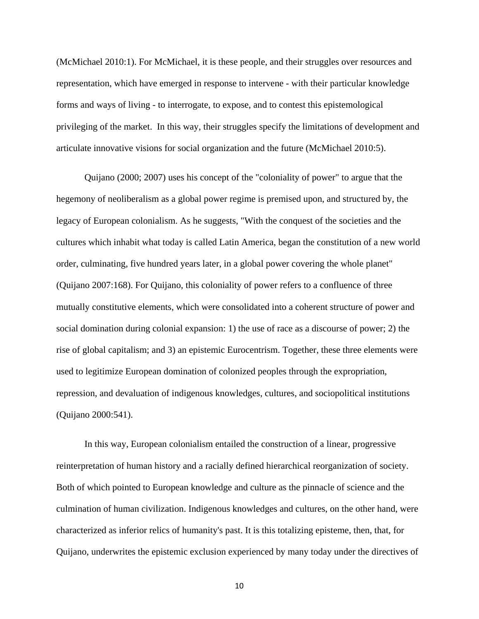(McMichael 2010:1). For McMichael, it is these people, and their struggles over resources and representation, which have emerged in response to intervene - with their particular knowledge forms and ways of living - to interrogate, to expose, and to contest this epistemological privileging of the market. In this way, their struggles specify the limitations of development and articulate innovative visions for social organization and the future (McMichael 2010:5).

Quijano (2000; 2007) uses his concept of the "coloniality of power" to argue that the hegemony of neoliberalism as a global power regime is premised upon, and structured by, the legacy of European colonialism. As he suggests, "With the conquest of the societies and the cultures which inhabit what today is called Latin America, began the constitution of a new world order, culminating, five hundred years later, in a global power covering the whole planet" (Quijano 2007:168). For Quijano, this coloniality of power refers to a confluence of three mutually constitutive elements, which were consolidated into a coherent structure of power and social domination during colonial expansion: 1) the use of race as a discourse of power; 2) the rise of global capitalism; and 3) an epistemic Eurocentrism. Together, these three elements were used to legitimize European domination of colonized peoples through the expropriation, repression, and devaluation of indigenous knowledges, cultures, and sociopolitical institutions (Quijano 2000:541).

In this way, European colonialism entailed the construction of a linear, progressive reinterpretation of human history and a racially defined hierarchical reorganization of society. Both of which pointed to European knowledge and culture as the pinnacle of science and the culmination of human civilization. Indigenous knowledges and cultures, on the other hand, were characterized as inferior relics of humanity's past. It is this totalizing episteme, then, that, for Quijano, underwrites the epistemic exclusion experienced by many today under the directives of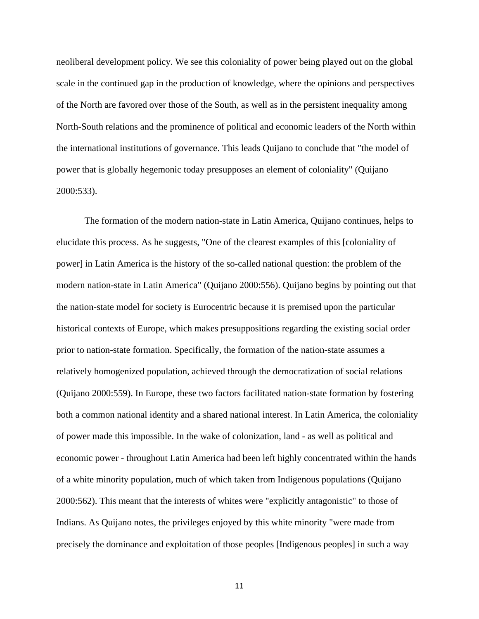neoliberal development policy. We see this coloniality of power being played out on the global scale in the continued gap in the production of knowledge, where the opinions and perspectives of the North are favored over those of the South, as well as in the persistent inequality among North-South relations and the prominence of political and economic leaders of the North within the international institutions of governance. This leads Quijano to conclude that "the model of power that is globally hegemonic today presupposes an element of coloniality" (Quijano 2000:533).

The formation of the modern nation-state in Latin America, Quijano continues, helps to elucidate this process. As he suggests, "One of the clearest examples of this [coloniality of power] in Latin America is the history of the so-called national question: the problem of the modern nation-state in Latin America" (Quijano 2000:556). Quijano begins by pointing out that the nation-state model for society is Eurocentric because it is premised upon the particular historical contexts of Europe, which makes presuppositions regarding the existing social order prior to nation-state formation. Specifically, the formation of the nation-state assumes a relatively homogenized population, achieved through the democratization of social relations (Quijano 2000:559). In Europe, these two factors facilitated nation-state formation by fostering both a common national identity and a shared national interest. In Latin America, the coloniality of power made this impossible. In the wake of colonization, land - as well as political and economic power - throughout Latin America had been left highly concentrated within the hands of a white minority population, much of which taken from Indigenous populations (Quijano 2000:562). This meant that the interests of whites were "explicitly antagonistic" to those of Indians. As Quijano notes, the privileges enjoyed by this white minority "were made from precisely the dominance and exploitation of those peoples [Indigenous peoples] in such a way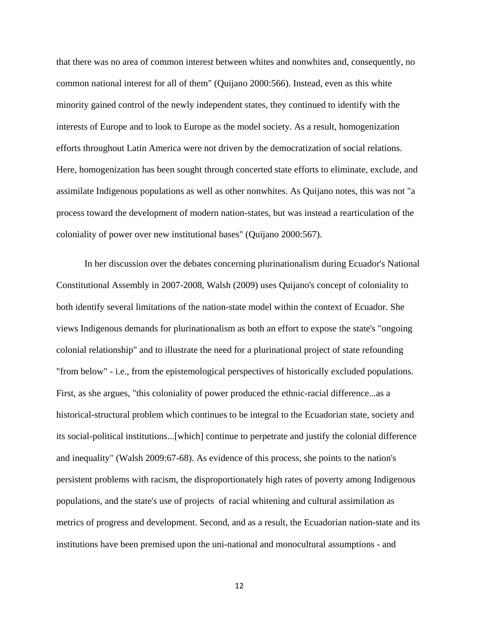that there was no area of common interest between whites and nonwhites and, consequently, no common national interest for all of them" (Quijano 2000:566). Instead, even as this white minority gained control of the newly independent states, they continued to identify with the interests of Europe and to look to Europe as the model society. As a result, homogenization efforts throughout Latin America were not driven by the democratization of social relations. Here, homogenization has been sought through concerted state efforts to eliminate, exclude, and assimilate Indigenous populations as well as other nonwhites. As Quijano notes, this was not "a process toward the development of modern nation-states, but was instead a rearticulation of the coloniality of power over new institutional bases" (Quijano 2000:567).

In her discussion over the debates concerning plurinationalism during Ecuador's National Constitutional Assembly in 2007-2008, Walsh (2009) uses Quijano's concept of coloniality to both identify several limitations of the nation-state model within the context of Ecuador. She views Indigenous demands for plurinationalism as both an effort to expose the state's "ongoing colonial relationship" and to illustrate the need for a plurinational project of state refounding "from below" - i.e., from the epistemological perspectives of historically excluded populations. First, as she argues, "this coloniality of power produced the ethnic-racial difference...as a historical-structural problem which continues to be integral to the Ecuadorian state, society and its social-political institutions...[which] continue to perpetrate and justify the colonial difference and inequality" (Walsh 2009:67-68). As evidence of this process, she points to the nation's persistent problems with racism, the disproportionately high rates of poverty among Indigenous populations, and the state's use of projects of racial whitening and cultural assimilation as metrics of progress and development. Second, and as a result, the Ecuadorian nation-state and its institutions have been premised upon the uni-national and monocultural assumptions - and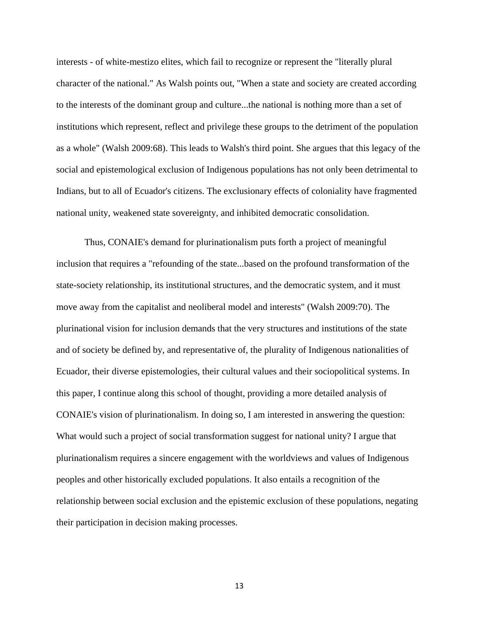interests - of white-mestizo elites, which fail to recognize or represent the "literally plural character of the national." As Walsh points out, "When a state and society are created according to the interests of the dominant group and culture...the national is nothing more than a set of institutions which represent, reflect and privilege these groups to the detriment of the population as a whole" (Walsh 2009:68). This leads to Walsh's third point. She argues that this legacy of the social and epistemological exclusion of Indigenous populations has not only been detrimental to Indians, but to all of Ecuador's citizens. The exclusionary effects of coloniality have fragmented national unity, weakened state sovereignty, and inhibited democratic consolidation.

Thus, CONAIE's demand for plurinationalism puts forth a project of meaningful inclusion that requires a "refounding of the state...based on the profound transformation of the state-society relationship, its institutional structures, and the democratic system, and it must move away from the capitalist and neoliberal model and interests" (Walsh 2009:70). The plurinational vision for inclusion demands that the very structures and institutions of the state and of society be defined by, and representative of, the plurality of Indigenous nationalities of Ecuador, their diverse epistemologies, their cultural values and their sociopolitical systems. In this paper, I continue along this school of thought, providing a more detailed analysis of CONAIE's vision of plurinationalism. In doing so, I am interested in answering the question: What would such a project of social transformation suggest for national unity? I argue that plurinationalism requires a sincere engagement with the worldviews and values of Indigenous peoples and other historically excluded populations. It also entails a recognition of the relationship between social exclusion and the epistemic exclusion of these populations, negating their participation in decision making processes.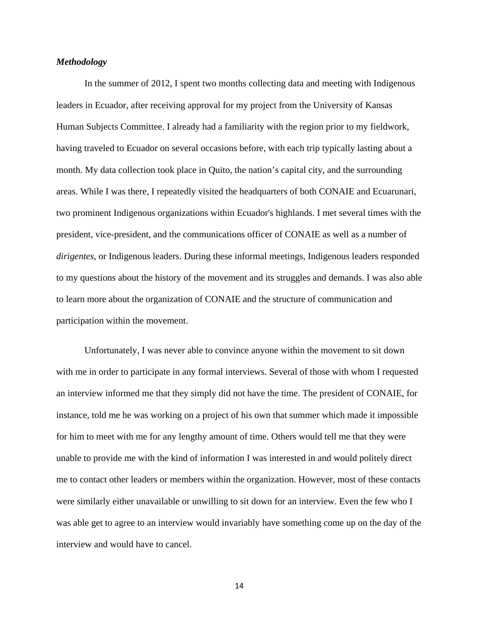#### <span id="page-20-0"></span>*Methodology*

In the summer of 2012, I spent two months collecting data and meeting with Indigenous leaders in Ecuador, after receiving approval for my project from the University of Kansas Human Subjects Committee. I already had a familiarity with the region prior to my fieldwork, having traveled to Ecuador on several occasions before, with each trip typically lasting about a month. My data collection took place in Quito, the nation's capital city, and the surrounding areas. While I was there, I repeatedly visited the headquarters of both CONAIE and Ecuarunari, two prominent Indigenous organizations within Ecuador's highlands. I met several times with the president, vice-president, and the communications officer of CONAIE as well as a number of *dirigentes*, or Indigenous leaders. During these informal meetings, Indigenous leaders responded to my questions about the history of the movement and its struggles and demands. I was also able to learn more about the organization of CONAIE and the structure of communication and participation within the movement.

Unfortunately, I was never able to convince anyone within the movement to sit down with me in order to participate in any formal interviews. Several of those with whom I requested an interview informed me that they simply did not have the time. The president of CONAIE, for instance, told me he was working on a project of his own that summer which made it impossible for him to meet with me for any lengthy amount of time. Others would tell me that they were unable to provide me with the kind of information I was interested in and would politely direct me to contact other leaders or members within the organization. However, most of these contacts were similarly either unavailable or unwilling to sit down for an interview. Even the few who I was able get to agree to an interview would invariably have something come up on the day of the interview and would have to cancel.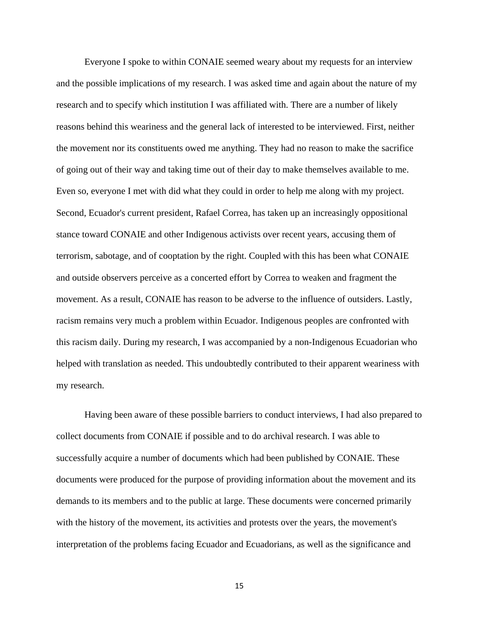Everyone I spoke to within CONAIE seemed weary about my requests for an interview and the possible implications of my research. I was asked time and again about the nature of my research and to specify which institution I was affiliated with. There are a number of likely reasons behind this weariness and the general lack of interested to be interviewed. First, neither the movement nor its constituents owed me anything. They had no reason to make the sacrifice of going out of their way and taking time out of their day to make themselves available to me. Even so, everyone I met with did what they could in order to help me along with my project. Second, Ecuador's current president, Rafael Correa, has taken up an increasingly oppositional stance toward CONAIE and other Indigenous activists over recent years, accusing them of terrorism, sabotage, and of cooptation by the right. Coupled with this has been what CONAIE and outside observers perceive as a concerted effort by Correa to weaken and fragment the movement. As a result, CONAIE has reason to be adverse to the influence of outsiders. Lastly, racism remains very much a problem within Ecuador. Indigenous peoples are confronted with this racism daily. During my research, I was accompanied by a non-Indigenous Ecuadorian who helped with translation as needed. This undoubtedly contributed to their apparent weariness with my research.

Having been aware of these possible barriers to conduct interviews, I had also prepared to collect documents from CONAIE if possible and to do archival research. I was able to successfully acquire a number of documents which had been published by CONAIE. These documents were produced for the purpose of providing information about the movement and its demands to its members and to the public at large. These documents were concerned primarily with the history of the movement, its activities and protests over the years, the movement's interpretation of the problems facing Ecuador and Ecuadorians, as well as the significance and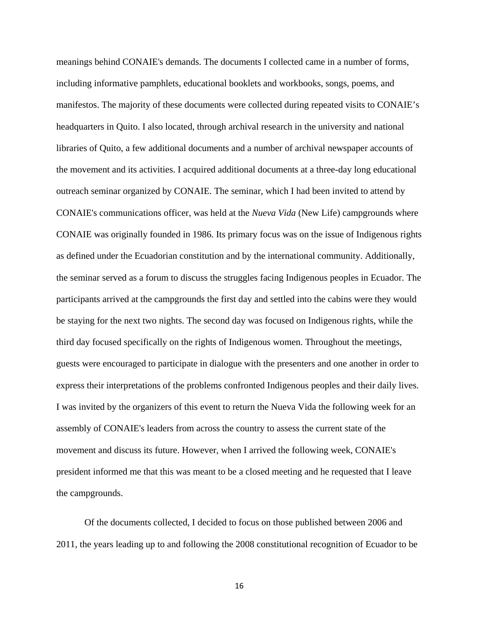meanings behind CONAIE's demands. The documents I collected came in a number of forms, including informative pamphlets, educational booklets and workbooks, songs, poems, and manifestos. The majority of these documents were collected during repeated visits to CONAIE's headquarters in Quito. I also located, through archival research in the university and national libraries of Quito, a few additional documents and a number of archival newspaper accounts of the movement and its activities. I acquired additional documents at a three-day long educational outreach seminar organized by CONAIE. The seminar, which I had been invited to attend by CONAIE's communications officer, was held at the *Nueva Vida* (New Life) campgrounds where CONAIE was originally founded in 1986. Its primary focus was on the issue of Indigenous rights as defined under the Ecuadorian constitution and by the international community. Additionally, the seminar served as a forum to discuss the struggles facing Indigenous peoples in Ecuador. The participants arrived at the campgrounds the first day and settled into the cabins were they would be staying for the next two nights. The second day was focused on Indigenous rights, while the third day focused specifically on the rights of Indigenous women. Throughout the meetings, guests were encouraged to participate in dialogue with the presenters and one another in order to express their interpretations of the problems confronted Indigenous peoples and their daily lives. I was invited by the organizers of this event to return the Nueva Vida the following week for an assembly of CONAIE's leaders from across the country to assess the current state of the movement and discuss its future. However, when I arrived the following week, CONAIE's president informed me that this was meant to be a closed meeting and he requested that I leave the campgrounds.

Of the documents collected, I decided to focus on those published between 2006 and 2011, the years leading up to and following the 2008 constitutional recognition of Ecuador to be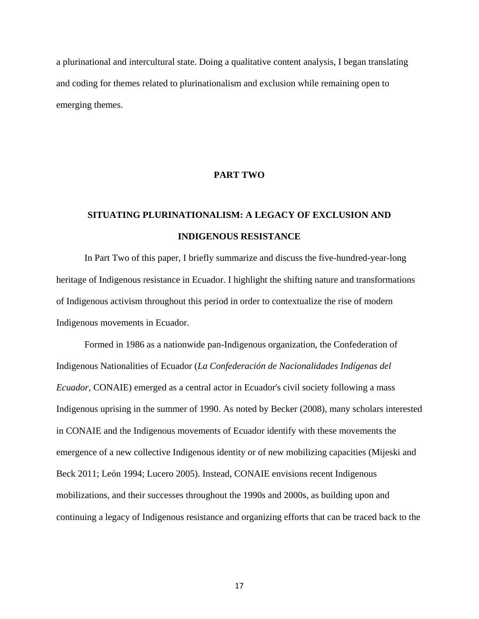a plurinational and intercultural state. Doing a qualitative content analysis, I began translating and coding for themes related to plurinationalism and exclusion while remaining open to emerging themes.

#### **PART TWO**

# <span id="page-23-0"></span>**SITUATING PLURINATIONALISM: A LEGACY OF EXCLUSION AND INDIGENOUS RESISTANCE**

In Part Two of this paper, I briefly summarize and discuss the five-hundred-year-long heritage of Indigenous resistance in Ecuador. I highlight the shifting nature and transformations of Indigenous activism throughout this period in order to contextualize the rise of modern Indigenous movements in Ecuador.

Formed in 1986 as a nationwide pan-Indigenous organization, the Confederation of Indigenous Nationalities of Ecuador (*La Confederación de Nacionalidades Indígenas del Ecuador*, CONAIE) emerged as a central actor in Ecuador's civil society following a mass Indigenous uprising in the summer of 1990. As noted by Becker (2008), many scholars interested in CONAIE and the Indigenous movements of Ecuador identify with these movements the emergence of a new collective Indigenous identity or of new mobilizing capacities (Mijeski and Beck 2011; León 1994; Lucero 2005). Instead, CONAIE envisions recent Indigenous mobilizations, and their successes throughout the 1990s and 2000s, as building upon and continuing a legacy of Indigenous resistance and organizing efforts that can be traced back to the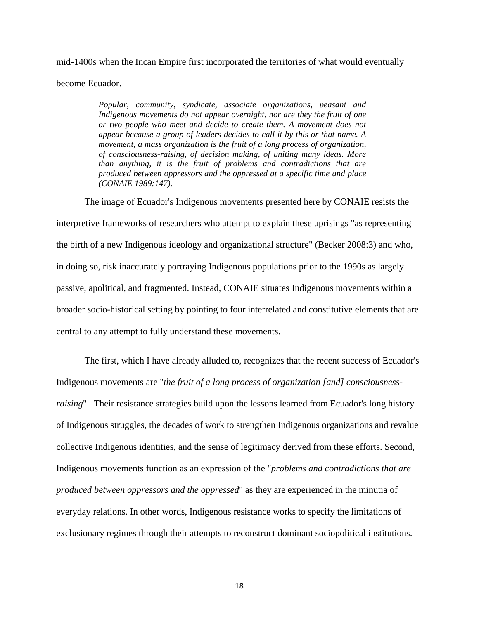mid-1400s when the Incan Empire first incorporated the territories of what would eventually become Ecuador.

> *Popular, community, syndicate, associate organizations, peasant and Indigenous movements do not appear overnight, nor are they the fruit of one or two people who meet and decide to create them. A movement does not appear because a group of leaders decides to call it by this or that name. A movement, a mass organization is the fruit of a long process of organization, of consciousness-raising, of decision making, of uniting many ideas. More than anything, it is the fruit of problems and contradictions that are produced between oppressors and the oppressed at a specific time and place (CONAIE 1989:147).*

The image of Ecuador's Indigenous movements presented here by CONAIE resists the interpretive frameworks of researchers who attempt to explain these uprisings "as representing the birth of a new Indigenous ideology and organizational structure" (Becker 2008:3) and who, in doing so, risk inaccurately portraying Indigenous populations prior to the 1990s as largely passive, apolitical, and fragmented. Instead, CONAIE situates Indigenous movements within a broader socio-historical setting by pointing to four interrelated and constitutive elements that are central to any attempt to fully understand these movements.

The first, which I have already alluded to, recognizes that the recent success of Ecuador's Indigenous movements are "*the fruit of a long process of organization [and] consciousnessraising*". Their resistance strategies build upon the lessons learned from Ecuador's long history of Indigenous struggles, the decades of work to strengthen Indigenous organizations and revalue collective Indigenous identities, and the sense of legitimacy derived from these efforts. Second, Indigenous movements function as an expression of the "*problems and contradictions that are produced between oppressors and the oppressed*" as they are experienced in the minutia of everyday relations. In other words, Indigenous resistance works to specify the limitations of exclusionary regimes through their attempts to reconstruct dominant sociopolitical institutions.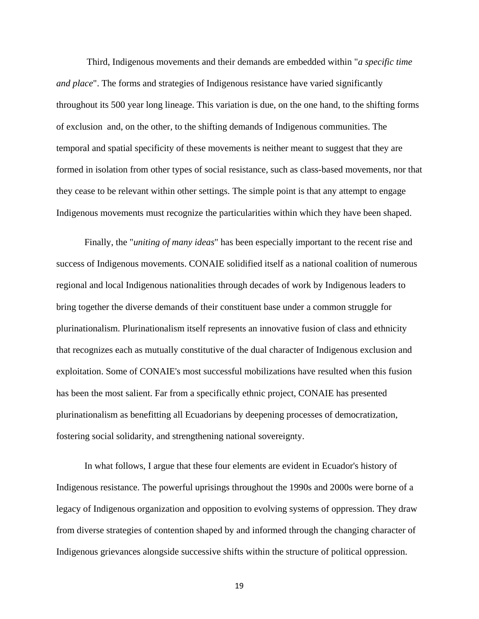Third, Indigenous movements and their demands are embedded within "*a specific time and place*". The forms and strategies of Indigenous resistance have varied significantly throughout its 500 year long lineage. This variation is due, on the one hand, to the shifting forms of exclusion and, on the other, to the shifting demands of Indigenous communities. The temporal and spatial specificity of these movements is neither meant to suggest that they are formed in isolation from other types of social resistance, such as class-based movements, nor that they cease to be relevant within other settings. The simple point is that any attempt to engage Indigenous movements must recognize the particularities within which they have been shaped.

Finally, the "*uniting of many ideas*" has been especially important to the recent rise and success of Indigenous movements. CONAIE solidified itself as a national coalition of numerous regional and local Indigenous nationalities through decades of work by Indigenous leaders to bring together the diverse demands of their constituent base under a common struggle for plurinationalism. Plurinationalism itself represents an innovative fusion of class and ethnicity that recognizes each as mutually constitutive of the dual character of Indigenous exclusion and exploitation. Some of CONAIE's most successful mobilizations have resulted when this fusion has been the most salient. Far from a specifically ethnic project, CONAIE has presented plurinationalism as benefitting all Ecuadorians by deepening processes of democratization, fostering social solidarity, and strengthening national sovereignty.

In what follows, I argue that these four elements are evident in Ecuador's history of Indigenous resistance. The powerful uprisings throughout the 1990s and 2000s were borne of a legacy of Indigenous organization and opposition to evolving systems of oppression. They draw from diverse strategies of contention shaped by and informed through the changing character of Indigenous grievances alongside successive shifts within the structure of political oppression.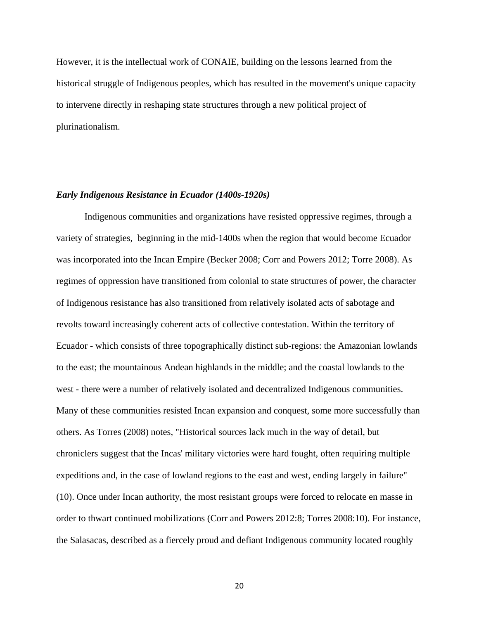However, it is the intellectual work of CONAIE, building on the lessons learned from the historical struggle of Indigenous peoples, which has resulted in the movement's unique capacity to intervene directly in reshaping state structures through a new political project of plurinationalism.

#### <span id="page-26-0"></span>*Early Indigenous Resistance in Ecuador (1400s-1920s)*

Indigenous communities and organizations have resisted oppressive regimes, through a variety of strategies, beginning in the mid-1400s when the region that would become Ecuador was incorporated into the Incan Empire (Becker 2008; Corr and Powers 2012; Torre 2008). As regimes of oppression have transitioned from colonial to state structures of power, the character of Indigenous resistance has also transitioned from relatively isolated acts of sabotage and revolts toward increasingly coherent acts of collective contestation. Within the territory of Ecuador - which consists of three topographically distinct sub-regions: the Amazonian lowlands to the east; the mountainous Andean highlands in the middle; and the coastal lowlands to the west - there were a number of relatively isolated and decentralized Indigenous communities. Many of these communities resisted Incan expansion and conquest, some more successfully than others. As Torres (2008) notes, "Historical sources lack much in the way of detail, but chroniclers suggest that the Incas' military victories were hard fought, often requiring multiple expeditions and, in the case of lowland regions to the east and west, ending largely in failure" (10). Once under Incan authority, the most resistant groups were forced to relocate en masse in order to thwart continued mobilizations (Corr and Powers 2012:8; Torres 2008:10). For instance, the Salasacas, described as a fiercely proud and defiant Indigenous community located roughly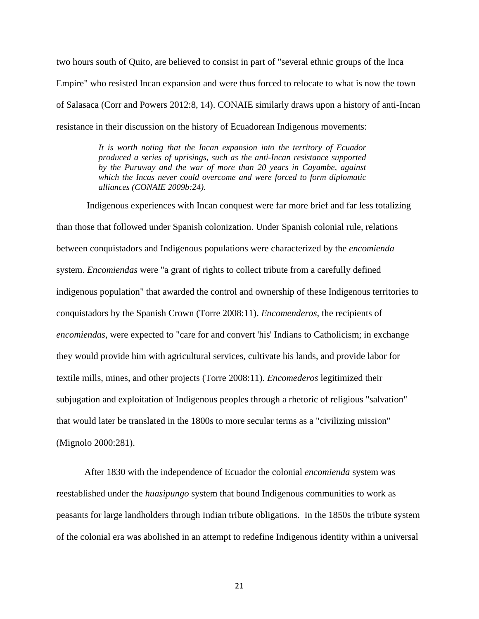two hours south of Quito, are believed to consist in part of "several ethnic groups of the Inca Empire" who resisted Incan expansion and were thus forced to relocate to what is now the town of Salasaca (Corr and Powers 2012:8, 14). CONAIE similarly draws upon a history of anti-Incan resistance in their discussion on the history of Ecuadorean Indigenous movements:

> *It is worth noting that the Incan expansion into the territory of Ecuador produced a series of uprisings, such as the anti-Incan resistance supported by the Puruway and the war of more than 20 years in Cayambe, against which the Incas never could overcome and were forced to form diplomatic alliances (CONAIE 2009b:24).*

Indigenous experiences with Incan conquest were far more brief and far less totalizing than those that followed under Spanish colonization. Under Spanish colonial rule, relations between conquistadors and Indigenous populations were characterized by the *encomienda* system. *Encomiendas* were "a grant of rights to collect tribute from a carefully defined indigenous population" that awarded the control and ownership of these Indigenous territories to conquistadors by the Spanish Crown (Torre 2008:11). *Encomenderos*, the recipients of *encomiendas*, were expected to "care for and convert 'his' Indians to Catholicism; in exchange they would provide him with agricultural services, cultivate his lands, and provide labor for textile mills, mines, and other projects (Torre 2008:11). *Encomederos* legitimized their subjugation and exploitation of Indigenous peoples through a rhetoric of religious "salvation" that would later be translated in the 1800s to more secular terms as a "civilizing mission" (Mignolo 2000:281).

After 1830 with the independence of Ecuador the colonial *encomienda* system was reestablished under the *huasipungo* system that bound Indigenous communities to work as peasants for large landholders through Indian tribute obligations. In the 1850s the tribute system of the colonial era was abolished in an attempt to redefine Indigenous identity within a universal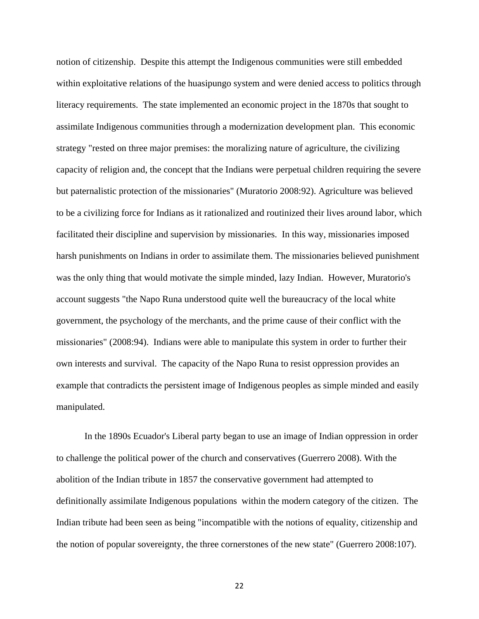notion of citizenship. Despite this attempt the Indigenous communities were still embedded within exploitative relations of the huasipungo system and were denied access to politics through literacy requirements. The state implemented an economic project in the 1870s that sought to assimilate Indigenous communities through a modernization development plan. This economic strategy "rested on three major premises: the moralizing nature of agriculture, the civilizing capacity of religion and, the concept that the Indians were perpetual children requiring the severe but paternalistic protection of the missionaries" (Muratorio 2008:92). Agriculture was believed to be a civilizing force for Indians as it rationalized and routinized their lives around labor, which facilitated their discipline and supervision by missionaries. In this way, missionaries imposed harsh punishments on Indians in order to assimilate them. The missionaries believed punishment was the only thing that would motivate the simple minded, lazy Indian. However, Muratorio's account suggests "the Napo Runa understood quite well the bureaucracy of the local white government, the psychology of the merchants, and the prime cause of their conflict with the missionaries" (2008:94). Indians were able to manipulate this system in order to further their own interests and survival. The capacity of the Napo Runa to resist oppression provides an example that contradicts the persistent image of Indigenous peoples as simple minded and easily manipulated.

In the 1890s Ecuador's Liberal party began to use an image of Indian oppression in order to challenge the political power of the church and conservatives (Guerrero 2008). With the abolition of the Indian tribute in 1857 the conservative government had attempted to definitionally assimilate Indigenous populations within the modern category of the citizen. The Indian tribute had been seen as being "incompatible with the notions of equality, citizenship and the notion of popular sovereignty, the three cornerstones of the new state" (Guerrero 2008:107).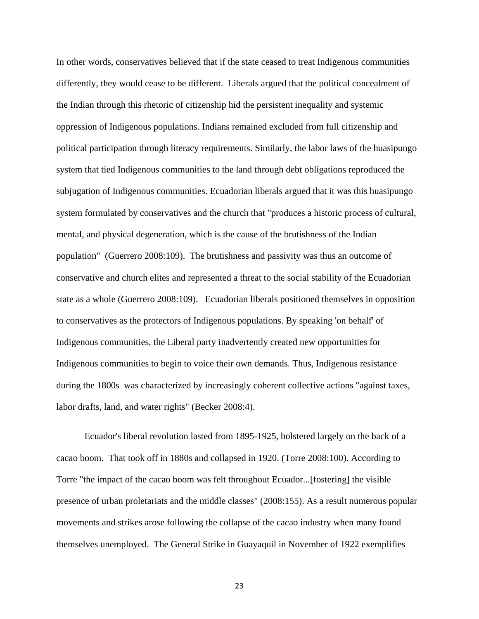In other words, conservatives believed that if the state ceased to treat Indigenous communities differently, they would cease to be different. Liberals argued that the political concealment of the Indian through this rhetoric of citizenship hid the persistent inequality and systemic oppression of Indigenous populations. Indians remained excluded from full citizenship and political participation through literacy requirements. Similarly, the labor laws of the huasipungo system that tied Indigenous communities to the land through debt obligations reproduced the subjugation of Indigenous communities. Ecuadorian liberals argued that it was this huasipungo system formulated by conservatives and the church that "produces a historic process of cultural, mental, and physical degeneration, which is the cause of the brutishness of the Indian population" (Guerrero 2008:109). The brutishness and passivity was thus an outcome of conservative and church elites and represented a threat to the social stability of the Ecuadorian state as a whole (Guerrero 2008:109). Ecuadorian liberals positioned themselves in opposition to conservatives as the protectors of Indigenous populations. By speaking 'on behalf' of Indigenous communities, the Liberal party inadvertently created new opportunities for Indigenous communities to begin to voice their own demands. Thus, Indigenous resistance during the 1800s was characterized by increasingly coherent collective actions "against taxes, labor drafts, land, and water rights" (Becker 2008:4).

Ecuador's liberal revolution lasted from 1895-1925, bolstered largely on the back of a cacao boom. That took off in 1880s and collapsed in 1920. (Torre 2008:100). According to Torre "the impact of the cacao boom was felt throughout Ecuador...[fostering] the visible presence of urban proletariats and the middle classes" (2008:155). As a result numerous popular movements and strikes arose following the collapse of the cacao industry when many found themselves unemployed. The General Strike in Guayaquil in November of 1922 exemplifies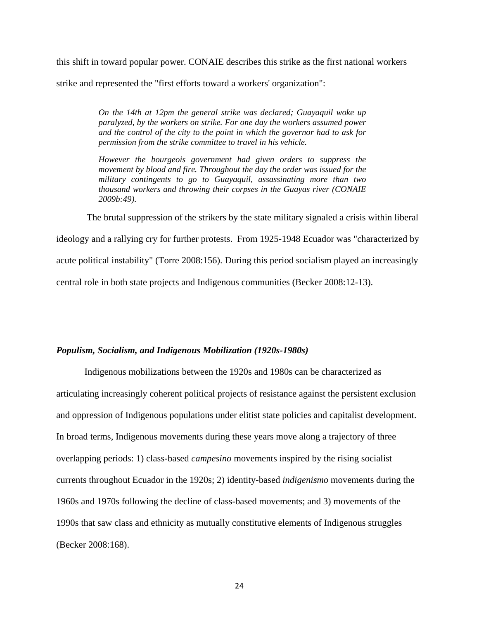this shift in toward popular power. CONAIE describes this strike as the first national workers strike and represented the "first efforts toward a workers' organization":

> *On the 14th at 12pm the general strike was declared; Guayaquil woke up paralyzed, by the workers on strike. For one day the workers assumed power and the control of the city to the point in which the governor had to ask for permission from the strike committee to travel in his vehicle.*

> *However the bourgeois government had given orders to suppress the movement by blood and fire. Throughout the day the order was issued for the military contingents to go to Guayaquil, assassinating more than two thousand workers and throwing their corpses in the Guayas river (CONAIE 2009b:49).*

The brutal suppression of the strikers by the state military signaled a crisis within liberal ideology and a rallying cry for further protests. From 1925-1948 Ecuador was "characterized by acute political instability" (Torre 2008:156). During this period socialism played an increasingly central role in both state projects and Indigenous communities (Becker 2008:12-13).

#### <span id="page-30-0"></span>*Populism, Socialism, and Indigenous Mobilization (1920s-1980s)*

Indigenous mobilizations between the 1920s and 1980s can be characterized as articulating increasingly coherent political projects of resistance against the persistent exclusion and oppression of Indigenous populations under elitist state policies and capitalist development. In broad terms, Indigenous movements during these years move along a trajectory of three overlapping periods: 1) class-based *campesino* movements inspired by the rising socialist currents throughout Ecuador in the 1920s; 2) identity-based *indigenismo* movements during the 1960s and 1970s following the decline of class-based movements; and 3) movements of the 1990s that saw class and ethnicity as mutually constitutive elements of Indigenous struggles (Becker 2008:168).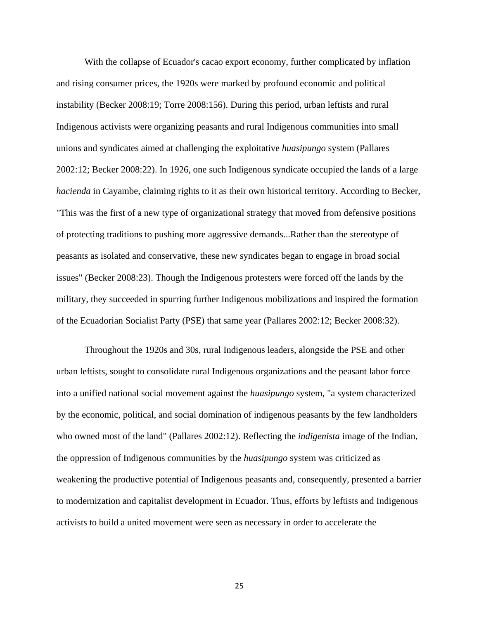With the collapse of Ecuador's cacao export economy, further complicated by inflation and rising consumer prices, the 1920s were marked by profound economic and political instability (Becker 2008:19; Torre 2008:156). During this period, urban leftists and rural Indigenous activists were organizing peasants and rural Indigenous communities into small unions and syndicates aimed at challenging the exploitative *huasipungo* system (Pallares 2002:12; Becker 2008:22). In 1926, one such Indigenous syndicate occupied the lands of a large *hacienda* in Cayambe, claiming rights to it as their own historical territory. According to Becker, "This was the first of a new type of organizational strategy that moved from defensive positions of protecting traditions to pushing more aggressive demands...Rather than the stereotype of peasants as isolated and conservative, these new syndicates began to engage in broad social issues" (Becker 2008:23). Though the Indigenous protesters were forced off the lands by the military, they succeeded in spurring further Indigenous mobilizations and inspired the formation of the Ecuadorian Socialist Party (PSE) that same year (Pallares 2002:12; Becker 2008:32).

Throughout the 1920s and 30s, rural Indigenous leaders, alongside the PSE and other urban leftists, sought to consolidate rural Indigenous organizations and the peasant labor force into a unified national social movement against the *huasipungo* system, "a system characterized by the economic, political, and social domination of indigenous peasants by the few landholders who owned most of the land" (Pallares 2002:12). Reflecting the *indigenista* image of the Indian, the oppression of Indigenous communities by the *huasipungo* system was criticized as weakening the productive potential of Indigenous peasants and, consequently, presented a barrier to modernization and capitalist development in Ecuador. Thus, efforts by leftists and Indigenous activists to build a united movement were seen as necessary in order to accelerate the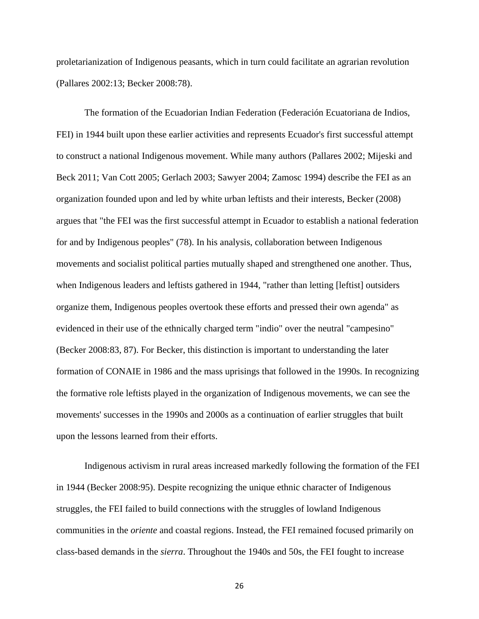proletarianization of Indigenous peasants, which in turn could facilitate an agrarian revolution (Pallares 2002:13; Becker 2008:78).

The formation of the Ecuadorian Indian Federation (Federación Ecuatoriana de Indios, FEI) in 1944 built upon these earlier activities and represents Ecuador's first successful attempt to construct a national Indigenous movement. While many authors (Pallares 2002; Mijeski and Beck 2011; Van Cott 2005; Gerlach 2003; Sawyer 2004; Zamosc 1994) describe the FEI as an organization founded upon and led by white urban leftists and their interests, Becker (2008) argues that "the FEI was the first successful attempt in Ecuador to establish a national federation for and by Indigenous peoples" (78). In his analysis, collaboration between Indigenous movements and socialist political parties mutually shaped and strengthened one another. Thus, when Indigenous leaders and leftists gathered in 1944, "rather than letting [leftist] outsiders organize them, Indigenous peoples overtook these efforts and pressed their own agenda" as evidenced in their use of the ethnically charged term "indio" over the neutral "campesino" (Becker 2008:83, 87). For Becker, this distinction is important to understanding the later formation of CONAIE in 1986 and the mass uprisings that followed in the 1990s. In recognizing the formative role leftists played in the organization of Indigenous movements, we can see the movements' successes in the 1990s and 2000s as a continuation of earlier struggles that built upon the lessons learned from their efforts.

Indigenous activism in rural areas increased markedly following the formation of the FEI in 1944 (Becker 2008:95). Despite recognizing the unique ethnic character of Indigenous struggles, the FEI failed to build connections with the struggles of lowland Indigenous communities in the *oriente* and coastal regions. Instead, the FEI remained focused primarily on class-based demands in the *sierra*. Throughout the 1940s and 50s, the FEI fought to increase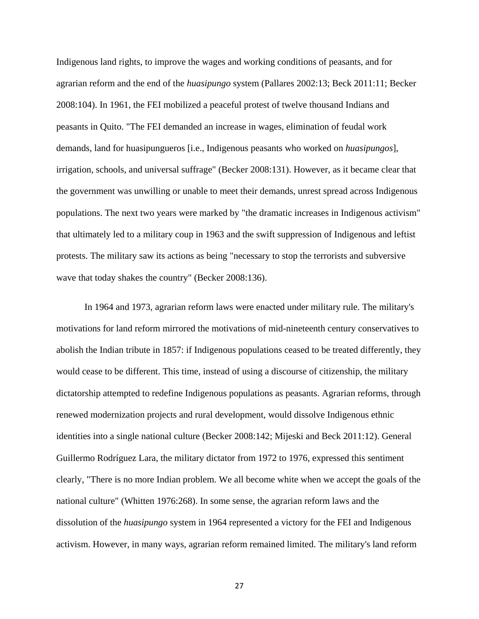Indigenous land rights, to improve the wages and working conditions of peasants, and for agrarian reform and the end of the *huasipungo* system (Pallares 2002:13; Beck 2011:11; Becker 2008:104). In 1961, the FEI mobilized a peaceful protest of twelve thousand Indians and peasants in Quito. "The FEI demanded an increase in wages, elimination of feudal work demands, land for huasipungueros [i.e., Indigenous peasants who worked on *huasipungos*], irrigation, schools, and universal suffrage" (Becker 2008:131). However, as it became clear that the government was unwilling or unable to meet their demands, unrest spread across Indigenous populations. The next two years were marked by "the dramatic increases in Indigenous activism" that ultimately led to a military coup in 1963 and the swift suppression of Indigenous and leftist protests. The military saw its actions as being "necessary to stop the terrorists and subversive wave that today shakes the country" (Becker 2008:136).

In 1964 and 1973, agrarian reform laws were enacted under military rule. The military's motivations for land reform mirrored the motivations of mid-nineteenth century conservatives to abolish the Indian tribute in 1857: if Indigenous populations ceased to be treated differently, they would cease to be different. This time, instead of using a discourse of citizenship, the military dictatorship attempted to redefine Indigenous populations as peasants. Agrarian reforms, through renewed modernization projects and rural development, would dissolve Indigenous ethnic identities into a single national culture (Becker 2008:142; Mijeski and Beck 2011:12). General Guillermo Rodríguez Lara, the military dictator from 1972 to 1976, expressed this sentiment clearly, "There is no more Indian problem. We all become white when we accept the goals of the national culture" (Whitten 1976:268). In some sense, the agrarian reform laws and the dissolution of the *huasipungo* system in 1964 represented a victory for the FEI and Indigenous activism. However, in many ways, agrarian reform remained limited. The military's land reform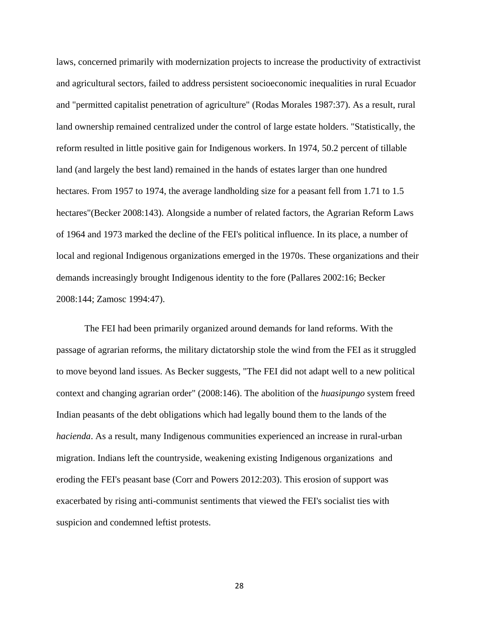laws, concerned primarily with modernization projects to increase the productivity of extractivist and agricultural sectors, failed to address persistent socioeconomic inequalities in rural Ecuador and "permitted capitalist penetration of agriculture" (Rodas Morales 1987:37). As a result, rural land ownership remained centralized under the control of large estate holders. "Statistically, the reform resulted in little positive gain for Indigenous workers. In 1974, 50.2 percent of tillable land (and largely the best land) remained in the hands of estates larger than one hundred hectares. From 1957 to 1974, the average landholding size for a peasant fell from 1.71 to 1.5 hectares"(Becker 2008:143). Alongside a number of related factors, the Agrarian Reform Laws of 1964 and 1973 marked the decline of the FEI's political influence. In its place, a number of local and regional Indigenous organizations emerged in the 1970s. These organizations and their demands increasingly brought Indigenous identity to the fore (Pallares 2002:16; Becker 2008:144; Zamosc 1994:47).

The FEI had been primarily organized around demands for land reforms. With the passage of agrarian reforms, the military dictatorship stole the wind from the FEI as it struggled to move beyond land issues. As Becker suggests, "The FEI did not adapt well to a new political context and changing agrarian order" (2008:146). The abolition of the *huasipungo* system freed Indian peasants of the debt obligations which had legally bound them to the lands of the *hacienda*. As a result, many Indigenous communities experienced an increase in rural-urban migration. Indians left the countryside, weakening existing Indigenous organizations and eroding the FEI's peasant base (Corr and Powers 2012:203). This erosion of support was exacerbated by rising anti-communist sentiments that viewed the FEI's socialist ties with suspicion and condemned leftist protests.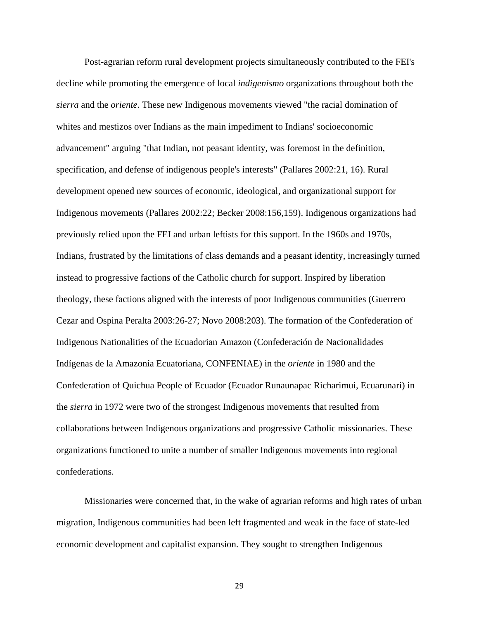Post-agrarian reform rural development projects simultaneously contributed to the FEI's decline while promoting the emergence of local *indigenismo* organizations throughout both the *sierra* and the *oriente*. These new Indigenous movements viewed "the racial domination of whites and mestizos over Indians as the main impediment to Indians' socioeconomic advancement" arguing "that Indian, not peasant identity, was foremost in the definition, specification, and defense of indigenous people's interests" (Pallares 2002:21, 16). Rural development opened new sources of economic, ideological, and organizational support for Indigenous movements (Pallares 2002:22; Becker 2008:156,159). Indigenous organizations had previously relied upon the FEI and urban leftists for this support. In the 1960s and 1970s, Indians, frustrated by the limitations of class demands and a peasant identity, increasingly turned instead to progressive factions of the Catholic church for support. Inspired by liberation theology, these factions aligned with the interests of poor Indigenous communities (Guerrero Cezar and Ospina Peralta 2003:26-27; Novo 2008:203). The formation of the Confederation of Indigenous Nationalities of the Ecuadorian Amazon (Confederación de Nacionalidades Indígenas de la Amazonía Ecuatoriana, CONFENIAE) in the *oriente* in 1980 and the Confederation of Quichua People of Ecuador (Ecuador Runaunapac Richarimui, Ecuarunari) in the *sierra* in 1972 were two of the strongest Indigenous movements that resulted from collaborations between Indigenous organizations and progressive Catholic missionaries. These organizations functioned to unite a number of smaller Indigenous movements into regional confederations.

Missionaries were concerned that, in the wake of agrarian reforms and high rates of urban migration, Indigenous communities had been left fragmented and weak in the face of state-led economic development and capitalist expansion. They sought to strengthen Indigenous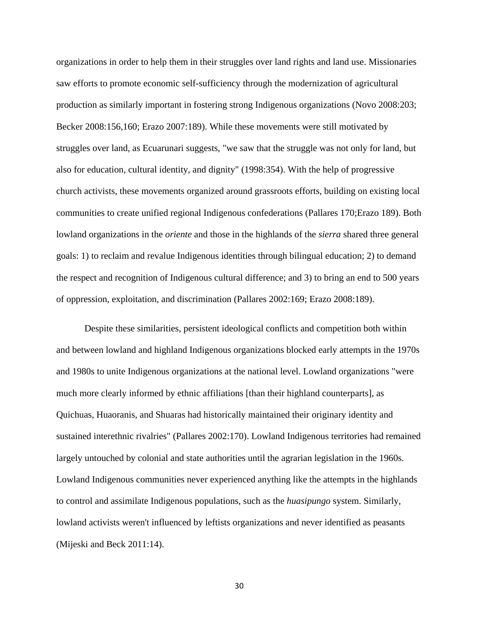organizations in order to help them in their struggles over land rights and land use. Missionaries saw efforts to promote economic self-sufficiency through the modernization of agricultural production as similarly important in fostering strong Indigenous organizations (Novo 2008:203; Becker 2008:156,160; Erazo 2007:189). While these movements were still motivated by struggles over land, as Ecuarunari suggests, "we saw that the struggle was not only for land, but also for education, cultural identity, and dignity" (1998:354). With the help of progressive church activists, these movements organized around grassroots efforts, building on existing local communities to create unified regional Indigenous confederations (Pallares 170;Erazo 189). Both lowland organizations in the *oriente* and those in the highlands of the *sierra* shared three general goals: 1) to reclaim and revalue Indigenous identities through bilingual education; 2) to demand the respect and recognition of Indigenous cultural difference; and 3) to bring an end to 500 years of oppression, exploitation, and discrimination (Pallares 2002:169; Erazo 2008:189).

Despite these similarities, persistent ideological conflicts and competition both within and between lowland and highland Indigenous organizations blocked early attempts in the 1970s and 1980s to unite Indigenous organizations at the national level. Lowland organizations "were much more clearly informed by ethnic affiliations [than their highland counterparts], as Quichuas, Huaoranis, and Shuaras had historically maintained their originary identity and sustained interethnic rivalries" (Pallares 2002:170). Lowland Indigenous territories had remained largely untouched by colonial and state authorities until the agrarian legislation in the 1960s. Lowland Indigenous communities never experienced anything like the attempts in the highlands to control and assimilate Indigenous populations, such as the *huasipungo* system. Similarly, lowland activists weren't influenced by leftists organizations and never identified as peasants (Mijeski and Beck 2011:14).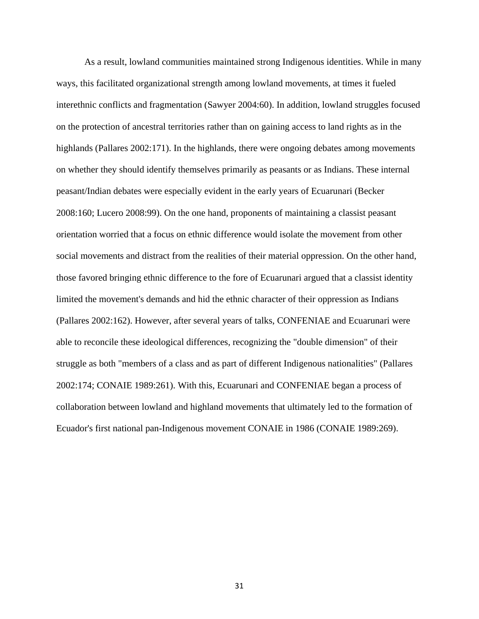As a result, lowland communities maintained strong Indigenous identities. While in many ways, this facilitated organizational strength among lowland movements, at times it fueled interethnic conflicts and fragmentation (Sawyer 2004:60). In addition, lowland struggles focused on the protection of ancestral territories rather than on gaining access to land rights as in the highlands (Pallares 2002:171). In the highlands, there were ongoing debates among movements on whether they should identify themselves primarily as peasants or as Indians. These internal peasant/Indian debates were especially evident in the early years of Ecuarunari (Becker 2008:160; Lucero 2008:99). On the one hand, proponents of maintaining a classist peasant orientation worried that a focus on ethnic difference would isolate the movement from other social movements and distract from the realities of their material oppression. On the other hand, those favored bringing ethnic difference to the fore of Ecuarunari argued that a classist identity limited the movement's demands and hid the ethnic character of their oppression as Indians (Pallares 2002:162). However, after several years of talks, CONFENIAE and Ecuarunari were able to reconcile these ideological differences, recognizing the "double dimension" of their struggle as both "members of a class and as part of different Indigenous nationalities" (Pallares 2002:174; CONAIE 1989:261). With this, Ecuarunari and CONFENIAE began a process of collaboration between lowland and highland movements that ultimately led to the formation of Ecuador's first national pan-Indigenous movement CONAIE in 1986 (CONAIE 1989:269).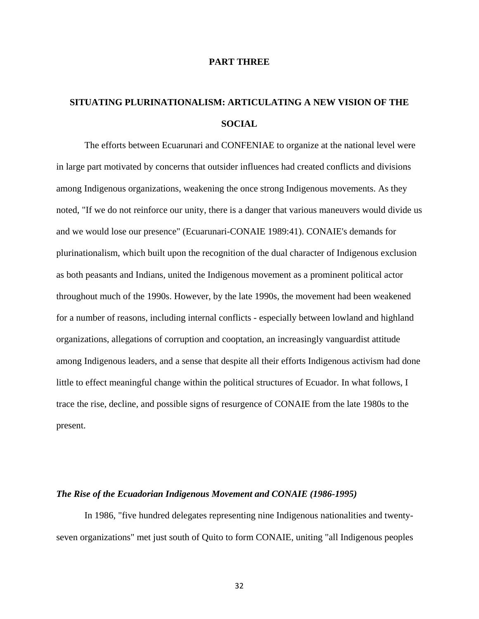### **PART THREE**

# **SITUATING PLURINATIONALISM: ARTICULATING A NEW VISION OF THE SOCIAL**

The efforts between Ecuarunari and CONFENIAE to organize at the national level were in large part motivated by concerns that outsider influences had created conflicts and divisions among Indigenous organizations, weakening the once strong Indigenous movements. As they noted, "If we do not reinforce our unity, there is a danger that various maneuvers would divide us and we would lose our presence" (Ecuarunari-CONAIE 1989:41). CONAIE's demands for plurinationalism, which built upon the recognition of the dual character of Indigenous exclusion as both peasants and Indians, united the Indigenous movement as a prominent political actor throughout much of the 1990s. However, by the late 1990s, the movement had been weakened for a number of reasons, including internal conflicts - especially between lowland and highland organizations, allegations of corruption and cooptation, an increasingly vanguardist attitude among Indigenous leaders, and a sense that despite all their efforts Indigenous activism had done little to effect meaningful change within the political structures of Ecuador. In what follows, I trace the rise, decline, and possible signs of resurgence of CONAIE from the late 1980s to the present.

#### *The Rise of the Ecuadorian Indigenous Movement and CONAIE (1986-1995)*

In 1986, "five hundred delegates representing nine Indigenous nationalities and twentyseven organizations" met just south of Quito to form CONAIE, uniting "all Indigenous peoples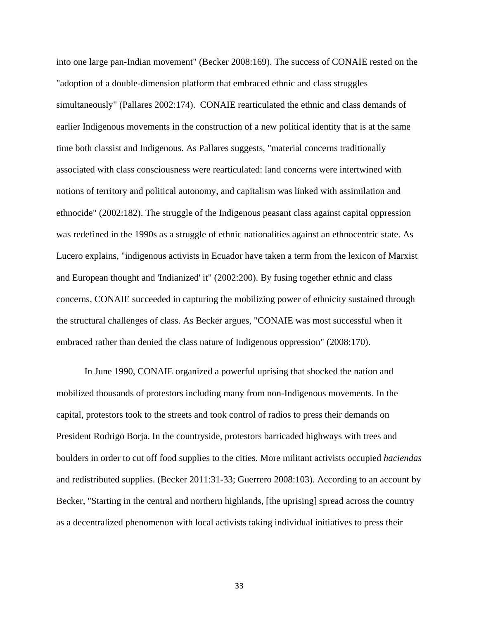into one large pan-Indian movement" (Becker 2008:169). The success of CONAIE rested on the "adoption of a double-dimension platform that embraced ethnic and class struggles simultaneously" (Pallares 2002:174). CONAIE rearticulated the ethnic and class demands of earlier Indigenous movements in the construction of a new political identity that is at the same time both classist and Indigenous. As Pallares suggests, "material concerns traditionally associated with class consciousness were rearticulated: land concerns were intertwined with notions of territory and political autonomy, and capitalism was linked with assimilation and ethnocide" (2002:182). The struggle of the Indigenous peasant class against capital oppression was redefined in the 1990s as a struggle of ethnic nationalities against an ethnocentric state. As Lucero explains, "indigenous activists in Ecuador have taken a term from the lexicon of Marxist and European thought and 'Indianized' it" (2002:200). By fusing together ethnic and class concerns, CONAIE succeeded in capturing the mobilizing power of ethnicity sustained through the structural challenges of class. As Becker argues, "CONAIE was most successful when it embraced rather than denied the class nature of Indigenous oppression" (2008:170).

In June 1990, CONAIE organized a powerful uprising that shocked the nation and mobilized thousands of protestors including many from non-Indigenous movements. In the capital, protestors took to the streets and took control of radios to press their demands on President Rodrigo Borja. In the countryside, protestors barricaded highways with trees and boulders in order to cut off food supplies to the cities. More militant activists occupied *haciendas* and redistributed supplies. (Becker 2011:31-33; Guerrero 2008:103). According to an account by Becker, "Starting in the central and northern highlands, [the uprising] spread across the country as a decentralized phenomenon with local activists taking individual initiatives to press their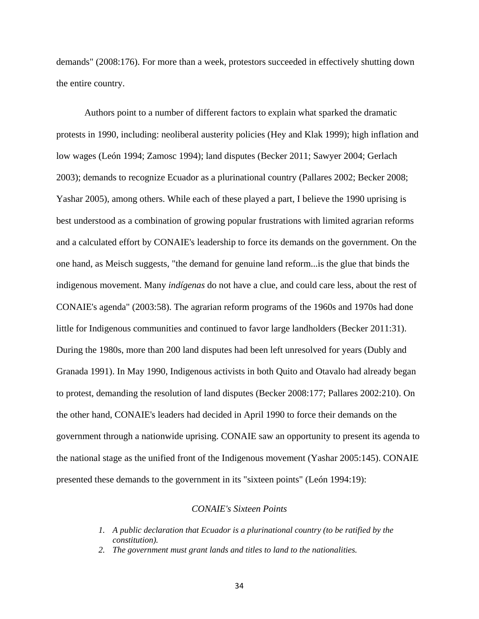demands" (2008:176). For more than a week, protestors succeeded in effectively shutting down the entire country.

Authors point to a number of different factors to explain what sparked the dramatic protests in 1990, including: neoliberal austerity policies (Hey and Klak 1999); high inflation and low wages (León 1994; Zamosc 1994); land disputes (Becker 2011; Sawyer 2004; Gerlach 2003); demands to recognize Ecuador as a plurinational country (Pallares 2002; Becker 2008; Yashar 2005), among others. While each of these played a part, I believe the 1990 uprising is best understood as a combination of growing popular frustrations with limited agrarian reforms and a calculated effort by CONAIE's leadership to force its demands on the government. On the one hand, as Meisch suggests, "the demand for genuine land reform...is the glue that binds the indigenous movement. Many *indígenas* do not have a clue, and could care less, about the rest of CONAIE's agenda" (2003:58). The agrarian reform programs of the 1960s and 1970s had done little for Indigenous communities and continued to favor large landholders (Becker 2011:31). During the 1980s, more than 200 land disputes had been left unresolved for years (Dubly and Granada 1991). In May 1990, Indigenous activists in both Quito and Otavalo had already began to protest, demanding the resolution of land disputes (Becker 2008:177; Pallares 2002:210). On the other hand, CONAIE's leaders had decided in April 1990 to force their demands on the government through a nationwide uprising. CONAIE saw an opportunity to present its agenda to the national stage as the unified front of the Indigenous movement (Yashar 2005:145). CONAIE presented these demands to the government in its "sixteen points" (León 1994:19):

# *CONAIE's Sixteen Points*

- *1. A public declaration that Ecuador is a plurinational country (to be ratified by the constitution).*
- *2. The government must grant lands and titles to land to the nationalities.*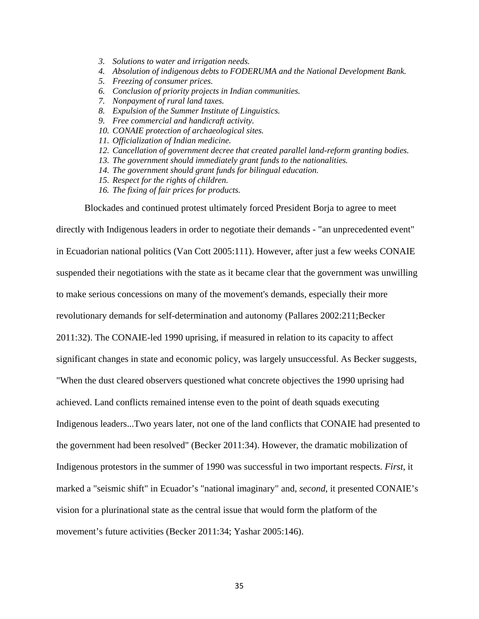- *3. Solutions to water and irrigation needs.*
- *4. Absolution of indigenous debts to FODERUMA and the National Development Bank.*
- *5. Freezing of consumer prices.*
- *6. Conclusion of priority projects in Indian communities.*
- *7. Nonpayment of rural land taxes.*
- *8. Expulsion of the Summer Institute of Linguistics.*
- *9. Free commercial and handicraft activity.*
- *10. CONAIE protection of archaeological sites.*
- *11. Officialization of Indian medicine.*
- *12. Cancellation of government decree that created parallel land-reform granting bodies.*
- *13. The government should immediately grant funds to the nationalities.*
- *14. The government should grant funds for bilingual education.*
- *15. Respect for the rights of children.*
- *16. The fixing of fair prices for products.*

Blockades and continued protest ultimately forced President Borja to agree to meet

directly with Indigenous leaders in order to negotiate their demands - "an unprecedented event" in Ecuadorian national politics (Van Cott 2005:111). However, after just a few weeks CONAIE suspended their negotiations with the state as it became clear that the government was unwilling to make serious concessions on many of the movement's demands, especially their more revolutionary demands for self-determination and autonomy (Pallares 2002:211;Becker 2011:32). The CONAIE-led 1990 uprising, if measured in relation to its capacity to affect significant changes in state and economic policy, was largely unsuccessful. As Becker suggests, "When the dust cleared observers questioned what concrete objectives the 1990 uprising had achieved. Land conflicts remained intense even to the point of death squads executing Indigenous leaders...Two years later, not one of the land conflicts that CONAIE had presented to the government had been resolved" (Becker 2011:34). However, the dramatic mobilization of Indigenous protestors in the summer of 1990 was successful in two important respects. *First*, it marked a "seismic shift" in Ecuador's "national imaginary" and, *second*, it presented CONAIE's vision for a plurinational state as the central issue that would form the platform of the movement's future activities (Becker 2011:34; Yashar 2005:146).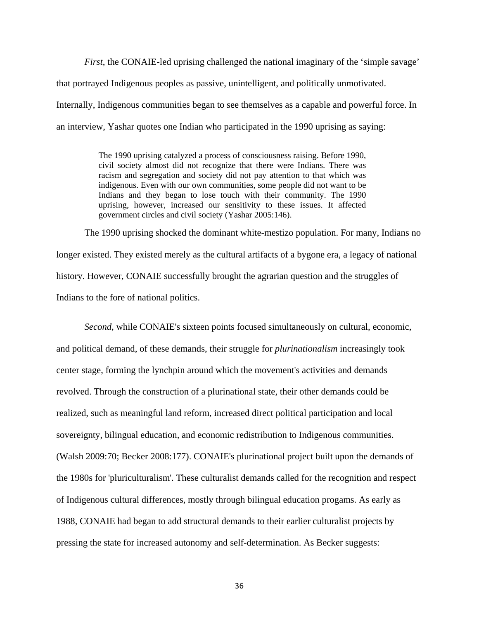*First*, the CONAIE-led uprising challenged the national imaginary of the 'simple savage' that portrayed Indigenous peoples as passive, unintelligent, and politically unmotivated. Internally, Indigenous communities began to see themselves as a capable and powerful force. In an interview, Yashar quotes one Indian who participated in the 1990 uprising as saying:

> The 1990 uprising catalyzed a process of consciousness raising. Before 1990, civil society almost did not recognize that there were Indians. There was racism and segregation and society did not pay attention to that which was indigenous. Even with our own communities, some people did not want to be Indians and they began to lose touch with their community. The 1990 uprising, however, increased our sensitivity to these issues. It affected government circles and civil society (Yashar 2005:146).

The 1990 uprising shocked the dominant white-mestizo population. For many, Indians no longer existed. They existed merely as the cultural artifacts of a bygone era, a legacy of national history. However, CONAIE successfully brought the agrarian question and the struggles of Indians to the fore of national politics.

*Second*, while CONAIE's sixteen points focused simultaneously on cultural, economic, and political demand, of these demands, their struggle for *plurinationalism* increasingly took center stage, forming the lynchpin around which the movement's activities and demands revolved. Through the construction of a plurinational state, their other demands could be realized, such as meaningful land reform, increased direct political participation and local sovereignty, bilingual education, and economic redistribution to Indigenous communities. (Walsh 2009:70; Becker 2008:177). CONAIE's plurinational project built upon the demands of the 1980s for 'pluriculturalism'. These culturalist demands called for the recognition and respect of Indigenous cultural differences, mostly through bilingual education progams. As early as 1988, CONAIE had began to add structural demands to their earlier culturalist projects by pressing the state for increased autonomy and self-determination. As Becker suggests: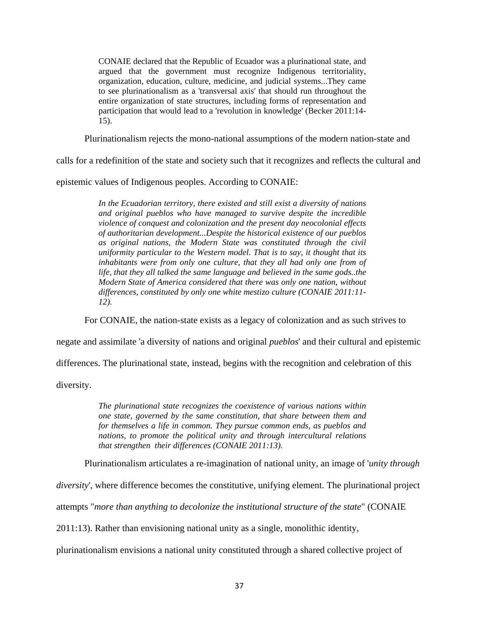CONAIE declared that the Republic of Ecuador was a plurinational state, and argued that the government must recognize Indigenous territoriality, organization, education, culture, medicine, and judicial systems...They came to see plurinationalism as a 'transversal axis' that should run throughout the entire organization of state structures, including forms of representation and participation that would lead to a 'revolution in knowledge' (Becker 2011:14- 15).

Plurinationalism rejects the mono-national assumptions of the modern nation-state and

calls for a redefinition of the state and society such that it recognizes and reflects the cultural and

epistemic values of Indigenous peoples. According to CONAIE:

*In the Ecuadorian territory, there existed and still exist a diversity of nations and original pueblos who have managed to survive despite the incredible violence of conquest and colonization and the present day neocolonial effects of authoritarian development...Despite the historical existence of our pueblos as original nations, the Modern State was constituted through the civil uniformity particular to the Western model. That is to say, it thought that its inhabitants were from only one culture, that they all had only one from of life, that they all talked the same language and believed in the same gods..the Modern State of America considered that there was only one nation, without differences, constituted by only one white mestizo culture (CONAIE 2011:11- 12).*

For CONAIE, the nation-state exists as a legacy of colonization and as such strives to

negate and assimilate 'a diversity of nations and original *pueblos*' and their cultural and epistemic

differences. The plurinational state, instead, begins with the recognition and celebration of this

diversity.

*The plurinational state recognizes the coexistence of various nations within one state, governed by the same constitution, that share between them and for themselves a life in common. They pursue common ends, as pueblos and nations, to promote the political unity and through intercultural relations that strengthen their differences (CONAIE 2011:13).* 

Plurinationalism articulates a re-imagination of national unity, an image of '*unity through* 

*diversity*', where difference becomes the constitutive, unifying element. The plurinational project

attempts "*more than anything to decolonize the institutional structure of the state*" (CONAIE

2011:13). Rather than envisioning national unity as a single, monolithic identity,

plurinationalism envisions a national unity constituted through a shared collective project of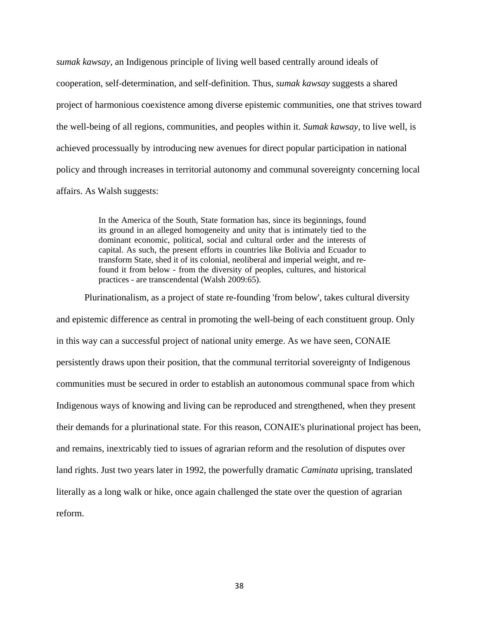*sumak kawsay,* an Indigenous principle of living well based centrally around ideals of cooperation, self-determination, and self-definition. Thus, *sumak kawsay* suggests a shared project of harmonious coexistence among diverse epistemic communities, one that strives toward the well-being of all regions, communities, and peoples within it. *Sumak kawsay*, to live well, is achieved processually by introducing new avenues for direct popular participation in national policy and through increases in territorial autonomy and communal sovereignty concerning local affairs. As Walsh suggests:

> In the America of the South, State formation has, since its beginnings, found its ground in an alleged homogeneity and unity that is intimately tied to the dominant economic, political, social and cultural order and the interests of capital. As such, the present efforts in countries like Bolivia and Ecuador to transform State, shed it of its colonial, neoliberal and imperial weight, and refound it from below - from the diversity of peoples, cultures, and historical practices - are transcendental (Walsh 2009:65).

Plurinationalism, as a project of state re-founding 'from below', takes cultural diversity and epistemic difference as central in promoting the well-being of each constituent group. Only in this way can a successful project of national unity emerge. As we have seen, CONAIE persistently draws upon their position, that the communal territorial sovereignty of Indigenous communities must be secured in order to establish an autonomous communal space from which Indigenous ways of knowing and living can be reproduced and strengthened, when they present their demands for a plurinational state. For this reason, CONAIE's plurinational project has been, and remains, inextricably tied to issues of agrarian reform and the resolution of disputes over land rights. Just two years later in 1992, the powerfully dramatic *Caminata* uprising*,* translated literally as a long walk or hike, once again challenged the state over the question of agrarian reform.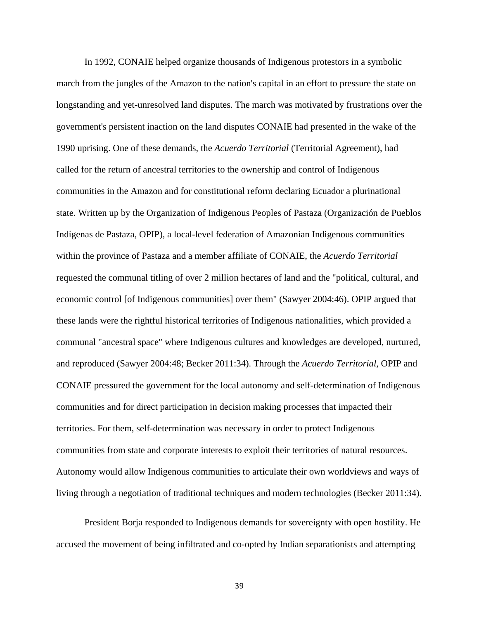In 1992, CONAIE helped organize thousands of Indigenous protestors in a symbolic march from the jungles of the Amazon to the nation's capital in an effort to pressure the state on longstanding and yet-unresolved land disputes. The march was motivated by frustrations over the government's persistent inaction on the land disputes CONAIE had presented in the wake of the 1990 uprising. One of these demands, the *Acuerdo Territorial* (Territorial Agreement), had called for the return of ancestral territories to the ownership and control of Indigenous communities in the Amazon and for constitutional reform declaring Ecuador a plurinational state. Written up by the Organization of Indigenous Peoples of Pastaza (Organización de Pueblos Indígenas de Pastaza, OPIP), a local-level federation of Amazonian Indigenous communities within the province of Pastaza and a member affiliate of CONAIE, the *Acuerdo Territorial* requested the communal titling of over 2 million hectares of land and the "political, cultural, and economic control [of Indigenous communities] over them" (Sawyer 2004:46). OPIP argued that these lands were the rightful historical territories of Indigenous nationalities, which provided a communal "ancestral space" where Indigenous cultures and knowledges are developed, nurtured, and reproduced (Sawyer 2004:48; Becker 2011:34). Through the *Acuerdo Territorial*, OPIP and CONAIE pressured the government for the local autonomy and self-determination of Indigenous communities and for direct participation in decision making processes that impacted their territories. For them, self-determination was necessary in order to protect Indigenous communities from state and corporate interests to exploit their territories of natural resources. Autonomy would allow Indigenous communities to articulate their own worldviews and ways of living through a negotiation of traditional techniques and modern technologies (Becker 2011:34).

President Borja responded to Indigenous demands for sovereignty with open hostility. He accused the movement of being infiltrated and co-opted by Indian separationists and attempting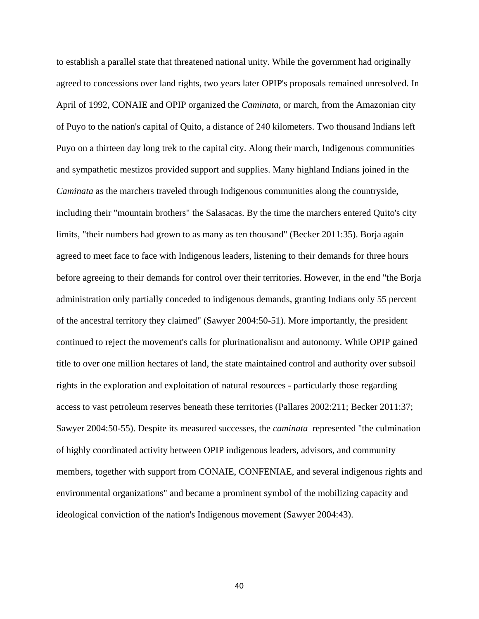to establish a parallel state that threatened national unity. While the government had originally agreed to concessions over land rights, two years later OPIP's proposals remained unresolved. In April of 1992, CONAIE and OPIP organized the *Caminata*, or march, from the Amazonian city of Puyo to the nation's capital of Quito, a distance of 240 kilometers. Two thousand Indians left Puyo on a thirteen day long trek to the capital city. Along their march, Indigenous communities and sympathetic mestizos provided support and supplies. Many highland Indians joined in the *Caminata* as the marchers traveled through Indigenous communities along the countryside, including their "mountain brothers" the Salasacas. By the time the marchers entered Quito's city limits, "their numbers had grown to as many as ten thousand" (Becker 2011:35). Borja again agreed to meet face to face with Indigenous leaders, listening to their demands for three hours before agreeing to their demands for control over their territories. However, in the end "the Borja administration only partially conceded to indigenous demands, granting Indians only 55 percent of the ancestral territory they claimed" (Sawyer 2004:50-51). More importantly, the president continued to reject the movement's calls for plurinationalism and autonomy. While OPIP gained title to over one million hectares of land, the state maintained control and authority over subsoil rights in the exploration and exploitation of natural resources - particularly those regarding access to vast petroleum reserves beneath these territories (Pallares 2002:211; Becker 2011:37; Sawyer 2004:50-55). Despite its measured successes, the *caminata* represented "the culmination of highly coordinated activity between OPIP indigenous leaders, advisors, and community members, together with support from CONAIE, CONFENIAE, and several indigenous rights and environmental organizations" and became a prominent symbol of the mobilizing capacity and ideological conviction of the nation's Indigenous movement (Sawyer 2004:43).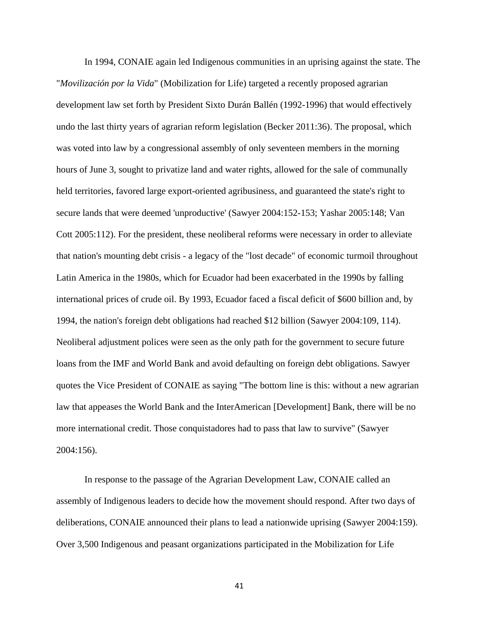In 1994, CONAIE again led Indigenous communities in an uprising against the state. The "*Movilización por la Vida*" (Mobilization for Life) targeted a recently proposed agrarian development law set forth by President Sixto Durán Ballén (1992-1996) that would effectively undo the last thirty years of agrarian reform legislation (Becker 2011:36). The proposal, which was voted into law by a congressional assembly of only seventeen members in the morning hours of June 3, sought to privatize land and water rights, allowed for the sale of communally held territories, favored large export-oriented agribusiness, and guaranteed the state's right to secure lands that were deemed 'unproductive' (Sawyer 2004:152-153; Yashar 2005:148; Van Cott 2005:112). For the president, these neoliberal reforms were necessary in order to alleviate that nation's mounting debt crisis - a legacy of the "lost decade" of economic turmoil throughout Latin America in the 1980s, which for Ecuador had been exacerbated in the 1990s by falling international prices of crude oil. By 1993, Ecuador faced a fiscal deficit of \$600 billion and, by 1994, the nation's foreign debt obligations had reached \$12 billion (Sawyer 2004:109, 114). Neoliberal adjustment polices were seen as the only path for the government to secure future loans from the IMF and World Bank and avoid defaulting on foreign debt obligations. Sawyer quotes the Vice President of CONAIE as saying "The bottom line is this: without a new agrarian law that appeases the World Bank and the InterAmerican [Development] Bank, there will be no more international credit. Those conquistadores had to pass that law to survive" (Sawyer 2004:156).

In response to the passage of the Agrarian Development Law, CONAIE called an assembly of Indigenous leaders to decide how the movement should respond. After two days of deliberations, CONAIE announced their plans to lead a nationwide uprising (Sawyer 2004:159). Over 3,500 Indigenous and peasant organizations participated in the Mobilization for Life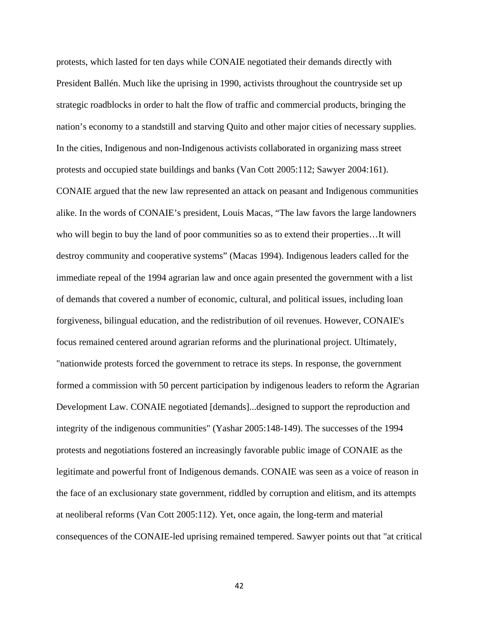protests, which lasted for ten days while CONAIE negotiated their demands directly with President Ballén. Much like the uprising in 1990, activists throughout the countryside set up strategic roadblocks in order to halt the flow of traffic and commercial products, bringing the nation's economy to a standstill and starving Quito and other major cities of necessary supplies. In the cities, Indigenous and non-Indigenous activists collaborated in organizing mass street protests and occupied state buildings and banks (Van Cott 2005:112; Sawyer 2004:161). CONAIE argued that the new law represented an attack on peasant and Indigenous communities alike. In the words of CONAIE's president, Louis Macas, "The law favors the large landowners who will begin to buy the land of poor communities so as to extend their properties…It will destroy community and cooperative systems" (Macas 1994). Indigenous leaders called for the immediate repeal of the 1994 agrarian law and once again presented the government with a list of demands that covered a number of economic, cultural, and political issues, including loan forgiveness, bilingual education, and the redistribution of oil revenues. However, CONAIE's focus remained centered around agrarian reforms and the plurinational project. Ultimately, "nationwide protests forced the government to retrace its steps. In response, the government formed a commission with 50 percent participation by indigenous leaders to reform the Agrarian Development Law. CONAIE negotiated [demands]...designed to support the reproduction and integrity of the indigenous communities" (Yashar 2005:148-149). The successes of the 1994 protests and negotiations fostered an increasingly favorable public image of CONAIE as the legitimate and powerful front of Indigenous demands. CONAIE was seen as a voice of reason in the face of an exclusionary state government, riddled by corruption and elitism, and its attempts at neoliberal reforms (Van Cott 2005:112). Yet, once again, the long-term and material consequences of the CONAIE-led uprising remained tempered. Sawyer points out that "at critical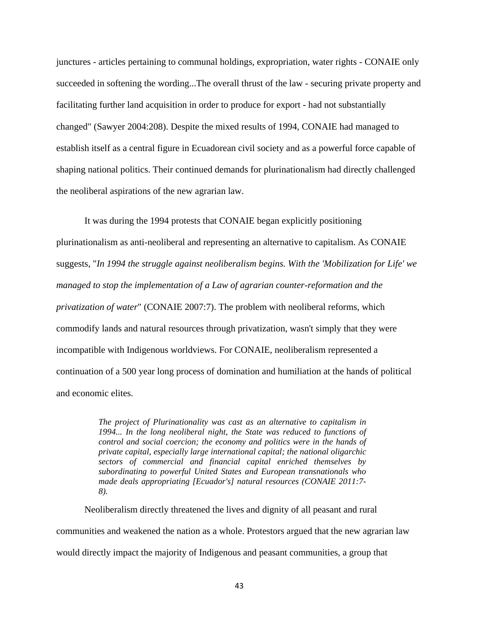junctures - articles pertaining to communal holdings, expropriation, water rights - CONAIE only succeeded in softening the wording...The overall thrust of the law - securing private property and facilitating further land acquisition in order to produce for export - had not substantially changed" (Sawyer 2004:208). Despite the mixed results of 1994, CONAIE had managed to establish itself as a central figure in Ecuadorean civil society and as a powerful force capable of shaping national politics. Their continued demands for plurinationalism had directly challenged the neoliberal aspirations of the new agrarian law.

It was during the 1994 protests that CONAIE began explicitly positioning plurinationalism as anti-neoliberal and representing an alternative to capitalism. As CONAIE suggests, "*In 1994 the struggle against neoliberalism begins. With the 'Mobilization for Life' we managed to stop the implementation of a Law of agrarian counter-reformation and the privatization of water*" (CONAIE 2007:7). The problem with neoliberal reforms, which commodify lands and natural resources through privatization, wasn't simply that they were incompatible with Indigenous worldviews. For CONAIE, neoliberalism represented a continuation of a 500 year long process of domination and humiliation at the hands of political and economic elites.

> *The project of Plurinationality was cast as an alternative to capitalism in 1994... In the long neoliberal night, the State was reduced to functions of control and social coercion; the economy and politics were in the hands of private capital, especially large international capital; the national oligarchic sectors of commercial and financial capital enriched themselves by subordinating to powerful United States and European transnationals who made deals appropriating [Ecuador's] natural resources (CONAIE 2011:7- 8).*

Neoliberalism directly threatened the lives and dignity of all peasant and rural communities and weakened the nation as a whole. Protestors argued that the new agrarian law would directly impact the majority of Indigenous and peasant communities, a group that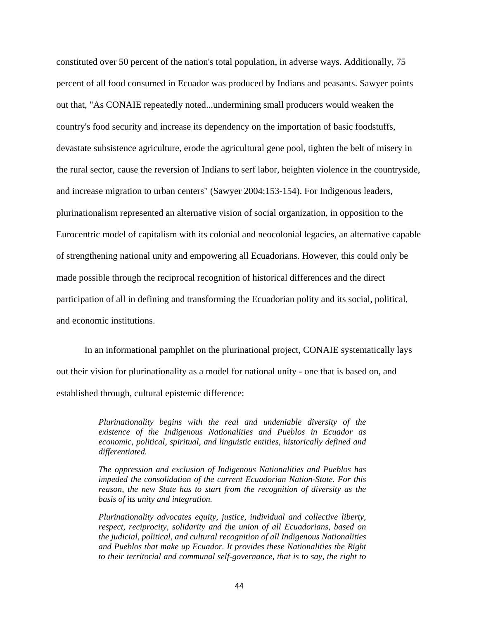constituted over 50 percent of the nation's total population, in adverse ways. Additionally, 75 percent of all food consumed in Ecuador was produced by Indians and peasants. Sawyer points out that, "As CONAIE repeatedly noted...undermining small producers would weaken the country's food security and increase its dependency on the importation of basic foodstuffs, devastate subsistence agriculture, erode the agricultural gene pool, tighten the belt of misery in the rural sector, cause the reversion of Indians to serf labor, heighten violence in the countryside, and increase migration to urban centers" (Sawyer 2004:153-154). For Indigenous leaders, plurinationalism represented an alternative vision of social organization, in opposition to the Eurocentric model of capitalism with its colonial and neocolonial legacies, an alternative capable of strengthening national unity and empowering all Ecuadorians. However, this could only be made possible through the reciprocal recognition of historical differences and the direct participation of all in defining and transforming the Ecuadorian polity and its social, political, and economic institutions.

In an informational pamphlet on the plurinational project, CONAIE systematically lays out their vision for plurinationality as a model for national unity - one that is based on, and established through, cultural epistemic difference:

> *Plurinationality begins with the real and undeniable diversity of the existence of the Indigenous Nationalities and Pueblos in Ecuador as economic, political, spiritual, and linguistic entities, historically defined and differentiated.*

> *The oppression and exclusion of Indigenous Nationalities and Pueblos has impeded the consolidation of the current Ecuadorian Nation-State. For this reason, the new State has to start from the recognition of diversity as the basis of its unity and integration.*

> *Plurinationality advocates equity, justice, individual and collective liberty, respect, reciprocity, solidarity and the union of all Ecuadorians, based on the judicial, political, and cultural recognition of all Indigenous Nationalities and Pueblos that make up Ecuador. It provides these Nationalities the Right to their territorial and communal self-governance, that is to say, the right to*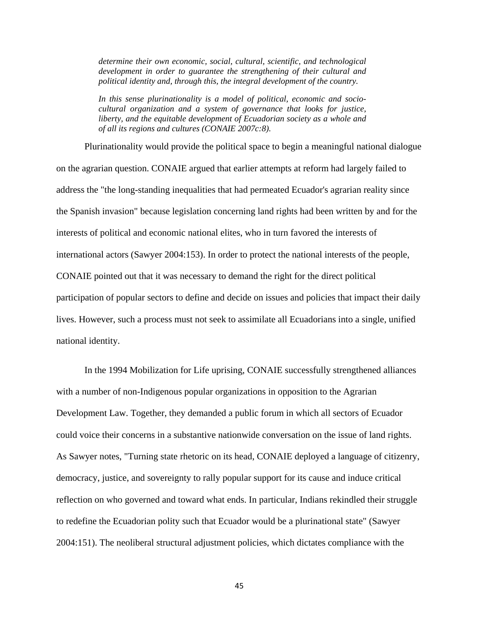*determine their own economic, social, cultural, scientific, and technological development in order to guarantee the strengthening of their cultural and political identity and, through this, the integral development of the country.*

*In this sense plurinationality is a model of political, economic and sociocultural organization and a system of governance that looks for justice, liberty, and the equitable development of Ecuadorian society as a whole and of all its regions and cultures (CONAIE 2007c:8).*

Plurinationality would provide the political space to begin a meaningful national dialogue on the agrarian question. CONAIE argued that earlier attempts at reform had largely failed to address the "the long-standing inequalities that had permeated Ecuador's agrarian reality since the Spanish invasion" because legislation concerning land rights had been written by and for the interests of political and economic national elites, who in turn favored the interests of international actors (Sawyer 2004:153). In order to protect the national interests of the people, CONAIE pointed out that it was necessary to demand the right for the direct political participation of popular sectors to define and decide on issues and policies that impact their daily lives. However, such a process must not seek to assimilate all Ecuadorians into a single, unified national identity.

In the 1994 Mobilization for Life uprising, CONAIE successfully strengthened alliances with a number of non-Indigenous popular organizations in opposition to the Agrarian Development Law. Together, they demanded a public forum in which all sectors of Ecuador could voice their concerns in a substantive nationwide conversation on the issue of land rights. As Sawyer notes, "Turning state rhetoric on its head, CONAIE deployed a language of citizenry, democracy, justice, and sovereignty to rally popular support for its cause and induce critical reflection on who governed and toward what ends. In particular, Indians rekindled their struggle to redefine the Ecuadorian polity such that Ecuador would be a plurinational state" (Sawyer 2004:151). The neoliberal structural adjustment policies, which dictates compliance with the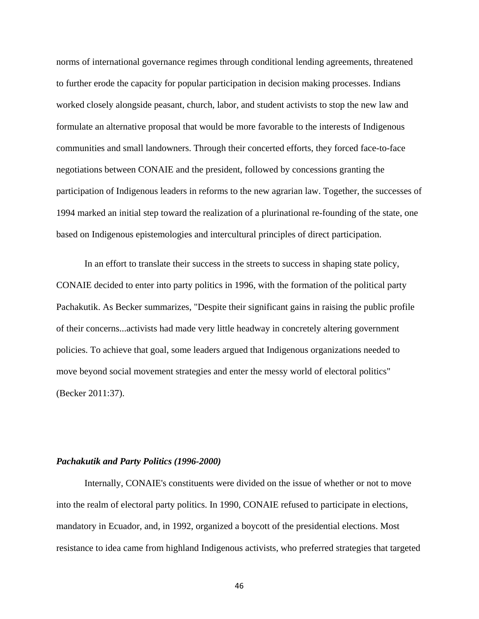norms of international governance regimes through conditional lending agreements, threatened to further erode the capacity for popular participation in decision making processes. Indians worked closely alongside peasant, church, labor, and student activists to stop the new law and formulate an alternative proposal that would be more favorable to the interests of Indigenous communities and small landowners. Through their concerted efforts, they forced face-to-face negotiations between CONAIE and the president, followed by concessions granting the participation of Indigenous leaders in reforms to the new agrarian law. Together, the successes of 1994 marked an initial step toward the realization of a plurinational re-founding of the state, one based on Indigenous epistemologies and intercultural principles of direct participation.

In an effort to translate their success in the streets to success in shaping state policy, CONAIE decided to enter into party politics in 1996, with the formation of the political party Pachakutik. As Becker summarizes, "Despite their significant gains in raising the public profile of their concerns...activists had made very little headway in concretely altering government policies. To achieve that goal, some leaders argued that Indigenous organizations needed to move beyond social movement strategies and enter the messy world of electoral politics" (Becker 2011:37).

### *Pachakutik and Party Politics (1996-2000)*

Internally, CONAIE's constituents were divided on the issue of whether or not to move into the realm of electoral party politics. In 1990, CONAIE refused to participate in elections, mandatory in Ecuador, and, in 1992, organized a boycott of the presidential elections. Most resistance to idea came from highland Indigenous activists, who preferred strategies that targeted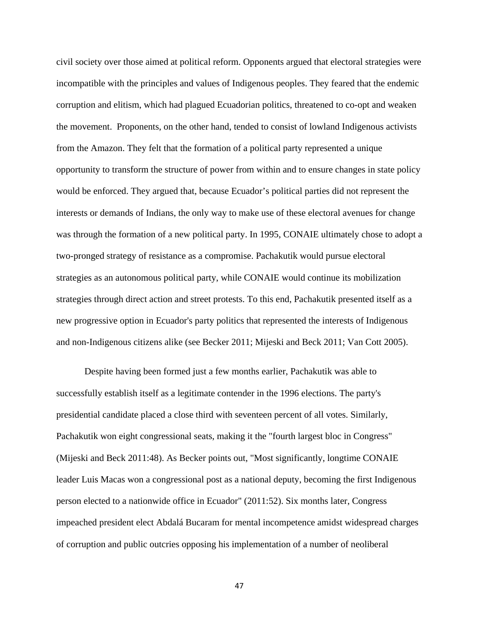civil society over those aimed at political reform. Opponents argued that electoral strategies were incompatible with the principles and values of Indigenous peoples. They feared that the endemic corruption and elitism, which had plagued Ecuadorian politics, threatened to co-opt and weaken the movement. Proponents, on the other hand, tended to consist of lowland Indigenous activists from the Amazon. They felt that the formation of a political party represented a unique opportunity to transform the structure of power from within and to ensure changes in state policy would be enforced. They argued that, because Ecuador's political parties did not represent the interests or demands of Indians, the only way to make use of these electoral avenues for change was through the formation of a new political party. In 1995, CONAIE ultimately chose to adopt a two-pronged strategy of resistance as a compromise. Pachakutik would pursue electoral strategies as an autonomous political party, while CONAIE would continue its mobilization strategies through direct action and street protests. To this end, Pachakutik presented itself as a new progressive option in Ecuador's party politics that represented the interests of Indigenous and non-Indigenous citizens alike (see Becker 2011; Mijeski and Beck 2011; Van Cott 2005).

Despite having been formed just a few months earlier, Pachakutik was able to successfully establish itself as a legitimate contender in the 1996 elections. The party's presidential candidate placed a close third with seventeen percent of all votes. Similarly, Pachakutik won eight congressional seats, making it the "fourth largest bloc in Congress" (Mijeski and Beck 2011:48). As Becker points out, "Most significantly, longtime CONAIE leader Luis Macas won a congressional post as a national deputy, becoming the first Indigenous person elected to a nationwide office in Ecuador" (2011:52). Six months later, Congress impeached president elect Abdalá Bucaram for mental incompetence amidst widespread charges of corruption and public outcries opposing his implementation of a number of neoliberal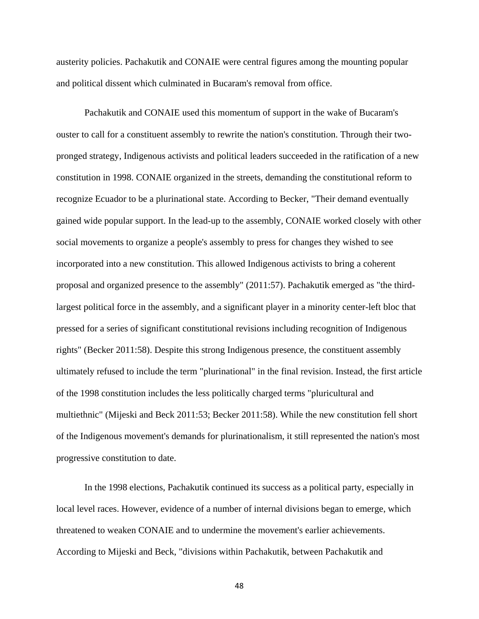austerity policies. Pachakutik and CONAIE were central figures among the mounting popular and political dissent which culminated in Bucaram's removal from office.

Pachakutik and CONAIE used this momentum of support in the wake of Bucaram's ouster to call for a constituent assembly to rewrite the nation's constitution. Through their twopronged strategy, Indigenous activists and political leaders succeeded in the ratification of a new constitution in 1998. CONAIE organized in the streets, demanding the constitutional reform to recognize Ecuador to be a plurinational state. According to Becker, "Their demand eventually gained wide popular support. In the lead-up to the assembly, CONAIE worked closely with other social movements to organize a people's assembly to press for changes they wished to see incorporated into a new constitution. This allowed Indigenous activists to bring a coherent proposal and organized presence to the assembly" (2011:57). Pachakutik emerged as "the thirdlargest political force in the assembly, and a significant player in a minority center-left bloc that pressed for a series of significant constitutional revisions including recognition of Indigenous rights" (Becker 2011:58). Despite this strong Indigenous presence, the constituent assembly ultimately refused to include the term "plurinational" in the final revision. Instead, the first article of the 1998 constitution includes the less politically charged terms "pluricultural and multiethnic" (Mijeski and Beck 2011:53; Becker 2011:58). While the new constitution fell short of the Indigenous movement's demands for plurinationalism, it still represented the nation's most progressive constitution to date.

In the 1998 elections, Pachakutik continued its success as a political party, especially in local level races. However, evidence of a number of internal divisions began to emerge, which threatened to weaken CONAIE and to undermine the movement's earlier achievements. According to Mijeski and Beck, "divisions within Pachakutik, between Pachakutik and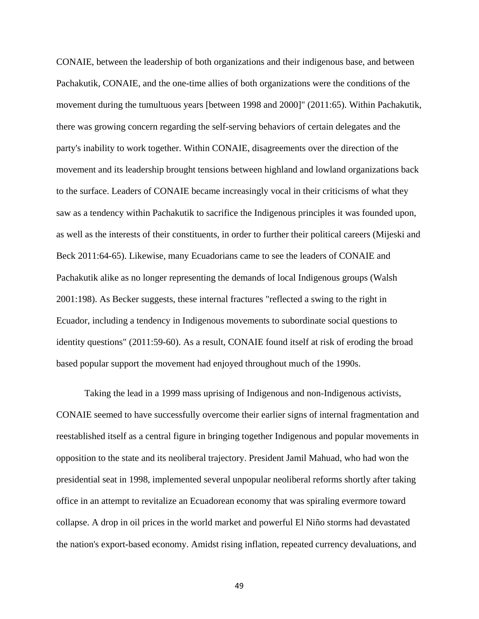CONAIE, between the leadership of both organizations and their indigenous base, and between Pachakutik, CONAIE, and the one-time allies of both organizations were the conditions of the movement during the tumultuous years [between 1998 and 2000]" (2011:65). Within Pachakutik, there was growing concern regarding the self-serving behaviors of certain delegates and the party's inability to work together. Within CONAIE, disagreements over the direction of the movement and its leadership brought tensions between highland and lowland organizations back to the surface. Leaders of CONAIE became increasingly vocal in their criticisms of what they saw as a tendency within Pachakutik to sacrifice the Indigenous principles it was founded upon, as well as the interests of their constituents, in order to further their political careers (Mijeski and Beck 2011:64-65). Likewise, many Ecuadorians came to see the leaders of CONAIE and Pachakutik alike as no longer representing the demands of local Indigenous groups (Walsh 2001:198). As Becker suggests, these internal fractures "reflected a swing to the right in Ecuador, including a tendency in Indigenous movements to subordinate social questions to identity questions" (2011:59-60). As a result, CONAIE found itself at risk of eroding the broad based popular support the movement had enjoyed throughout much of the 1990s.

Taking the lead in a 1999 mass uprising of Indigenous and non-Indigenous activists, CONAIE seemed to have successfully overcome their earlier signs of internal fragmentation and reestablished itself as a central figure in bringing together Indigenous and popular movements in opposition to the state and its neoliberal trajectory. President Jamil Mahuad, who had won the presidential seat in 1998, implemented several unpopular neoliberal reforms shortly after taking office in an attempt to revitalize an Ecuadorean economy that was spiraling evermore toward collapse. A drop in oil prices in the world market and powerful El Niño storms had devastated the nation's export-based economy. Amidst rising inflation, repeated currency devaluations, and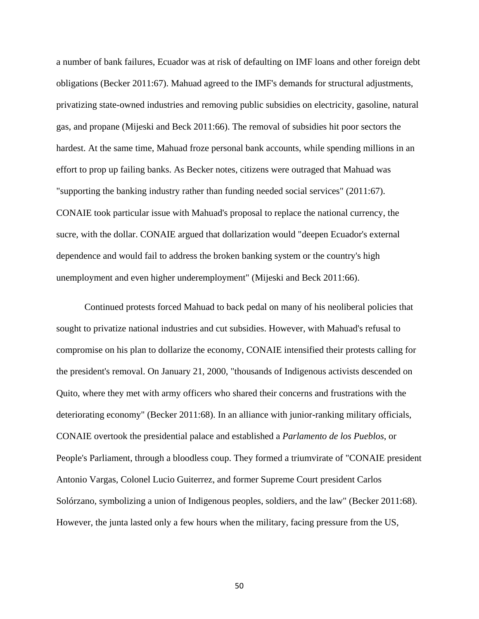a number of bank failures, Ecuador was at risk of defaulting on IMF loans and other foreign debt obligations (Becker 2011:67). Mahuad agreed to the IMF's demands for structural adjustments, privatizing state-owned industries and removing public subsidies on electricity, gasoline, natural gas, and propane (Mijeski and Beck 2011:66). The removal of subsidies hit poor sectors the hardest. At the same time, Mahuad froze personal bank accounts, while spending millions in an effort to prop up failing banks. As Becker notes, citizens were outraged that Mahuad was "supporting the banking industry rather than funding needed social services" (2011:67). CONAIE took particular issue with Mahuad's proposal to replace the national currency, the sucre, with the dollar. CONAIE argued that dollarization would "deepen Ecuador's external dependence and would fail to address the broken banking system or the country's high unemployment and even higher underemployment" (Mijeski and Beck 2011:66).

Continued protests forced Mahuad to back pedal on many of his neoliberal policies that sought to privatize national industries and cut subsidies. However, with Mahuad's refusal to compromise on his plan to dollarize the economy, CONAIE intensified their protests calling for the president's removal. On January 21, 2000, "thousands of Indigenous activists descended on Quito, where they met with army officers who shared their concerns and frustrations with the deteriorating economy" (Becker 2011:68). In an alliance with junior-ranking military officials, CONAIE overtook the presidential palace and established a *Parlamento de los Pueblos*, or People's Parliament, through a bloodless coup. They formed a triumvirate of "CONAIE president Antonio Vargas, Colonel Lucio Guiterrez, and former Supreme Court president Carlos Solórzano, symbolizing a union of Indigenous peoples, soldiers, and the law" (Becker 2011:68). However, the junta lasted only a few hours when the military, facing pressure from the US,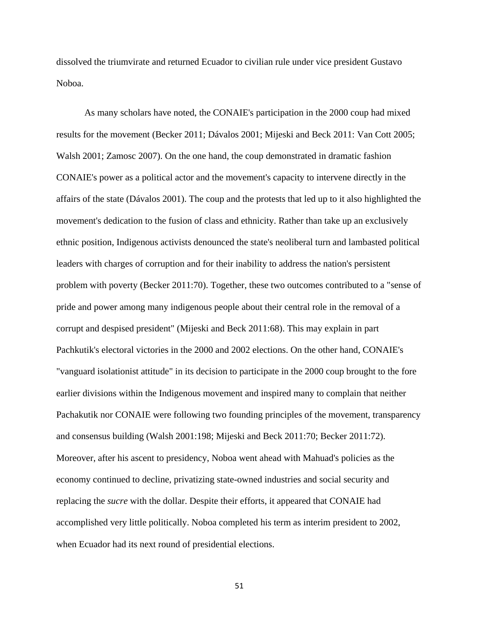dissolved the triumvirate and returned Ecuador to civilian rule under vice president Gustavo Noboa.

As many scholars have noted, the CONAIE's participation in the 2000 coup had mixed results for the movement (Becker 2011; Dávalos 2001; Mijeski and Beck 2011: Van Cott 2005; Walsh 2001; Zamosc 2007). On the one hand, the coup demonstrated in dramatic fashion CONAIE's power as a political actor and the movement's capacity to intervene directly in the affairs of the state (Dávalos 2001). The coup and the protests that led up to it also highlighted the movement's dedication to the fusion of class and ethnicity. Rather than take up an exclusively ethnic position, Indigenous activists denounced the state's neoliberal turn and lambasted political leaders with charges of corruption and for their inability to address the nation's persistent problem with poverty (Becker 2011:70). Together, these two outcomes contributed to a "sense of pride and power among many indigenous people about their central role in the removal of a corrupt and despised president" (Mijeski and Beck 2011:68). This may explain in part Pachkutik's electoral victories in the 2000 and 2002 elections. On the other hand, CONAIE's "vanguard isolationist attitude" in its decision to participate in the 2000 coup brought to the fore earlier divisions within the Indigenous movement and inspired many to complain that neither Pachakutik nor CONAIE were following two founding principles of the movement, transparency and consensus building (Walsh 2001:198; Mijeski and Beck 2011:70; Becker 2011:72). Moreover, after his ascent to presidency, Noboa went ahead with Mahuad's policies as the economy continued to decline, privatizing state-owned industries and social security and replacing the *sucre* with the dollar. Despite their efforts, it appeared that CONAIE had accomplished very little politically. Noboa completed his term as interim president to 2002, when Ecuador had its next round of presidential elections.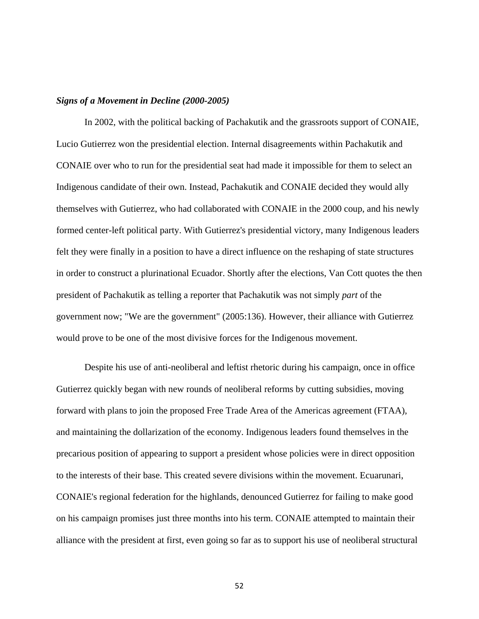#### *Signs of a Movement in Decline (2000-2005)*

In 2002, with the political backing of Pachakutik and the grassroots support of CONAIE, Lucio Gutierrez won the presidential election. Internal disagreements within Pachakutik and CONAIE over who to run for the presidential seat had made it impossible for them to select an Indigenous candidate of their own. Instead, Pachakutik and CONAIE decided they would ally themselves with Gutierrez, who had collaborated with CONAIE in the 2000 coup, and his newly formed center-left political party. With Gutierrez's presidential victory, many Indigenous leaders felt they were finally in a position to have a direct influence on the reshaping of state structures in order to construct a plurinational Ecuador. Shortly after the elections, Van Cott quotes the then president of Pachakutik as telling a reporter that Pachakutik was not simply *part* of the government now; "We are the government" (2005:136). However, their alliance with Gutierrez would prove to be one of the most divisive forces for the Indigenous movement.

Despite his use of anti-neoliberal and leftist rhetoric during his campaign, once in office Gutierrez quickly began with new rounds of neoliberal reforms by cutting subsidies, moving forward with plans to join the proposed Free Trade Area of the Americas agreement (FTAA), and maintaining the dollarization of the economy. Indigenous leaders found themselves in the precarious position of appearing to support a president whose policies were in direct opposition to the interests of their base. This created severe divisions within the movement. Ecuarunari, CONAIE's regional federation for the highlands, denounced Gutierrez for failing to make good on his campaign promises just three months into his term. CONAIE attempted to maintain their alliance with the president at first, even going so far as to support his use of neoliberal structural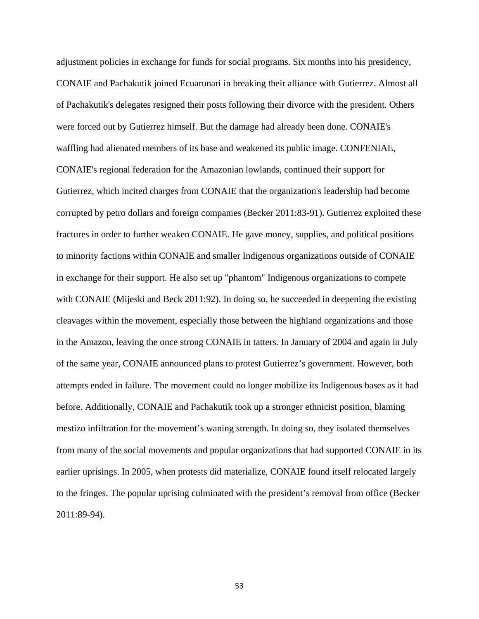adjustment policies in exchange for funds for social programs. Six months into his presidency, CONAIE and Pachakutik joined Ecuarunari in breaking their alliance with Gutierrez. Almost all of Pachakutik's delegates resigned their posts following their divorce with the president. Others were forced out by Gutierrez himself. But the damage had already been done. CONAIE's waffling had alienated members of its base and weakened its public image. CONFENIAE, CONAIE's regional federation for the Amazonian lowlands, continued their support for Gutierrez, which incited charges from CONAIE that the organization's leadership had become corrupted by petro dollars and foreign companies (Becker 2011:83-91). Gutierrez exploited these fractures in order to further weaken CONAIE. He gave money, supplies, and political positions to minority factions within CONAIE and smaller Indigenous organizations outside of CONAIE in exchange for their support. He also set up "phantom" Indigenous organizations to compete with CONAIE (Mijeski and Beck 2011:92). In doing so, he succeeded in deepening the existing cleavages within the movement, especially those between the highland organizations and those in the Amazon, leaving the once strong CONAIE in tatters. In January of 2004 and again in July of the same year, CONAIE announced plans to protest Gutierrez's government. However, both attempts ended in failure. The movement could no longer mobilize its Indigenous bases as it had before. Additionally, CONAIE and Pachakutik took up a stronger ethnicist position, blaming mestizo infiltration for the movement's waning strength. In doing so, they isolated themselves from many of the social movements and popular organizations that had supported CONAIE in its earlier uprisings. In 2005, when protests did materialize, CONAIE found itself relocated largely to the fringes. The popular uprising culminated with the president's removal from office (Becker 2011:89-94).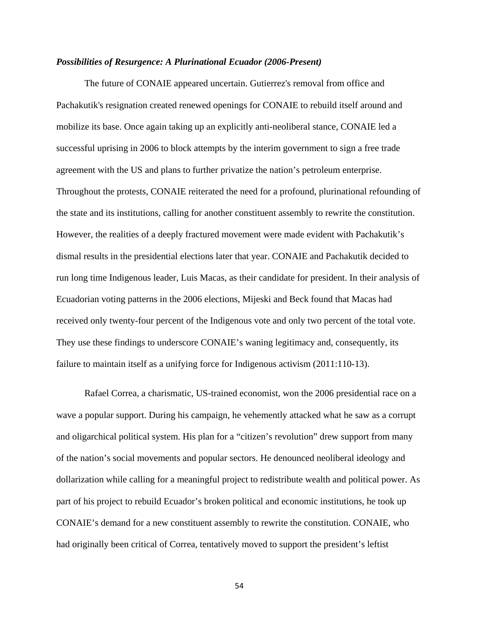#### *Possibilities of Resurgence: A Plurinational Ecuador (2006-Present)*

The future of CONAIE appeared uncertain. Gutierrez's removal from office and Pachakutik's resignation created renewed openings for CONAIE to rebuild itself around and mobilize its base. Once again taking up an explicitly anti-neoliberal stance, CONAIE led a successful uprising in 2006 to block attempts by the interim government to sign a free trade agreement with the US and plans to further privatize the nation's petroleum enterprise. Throughout the protests, CONAIE reiterated the need for a profound, plurinational refounding of the state and its institutions, calling for another constituent assembly to rewrite the constitution. However, the realities of a deeply fractured movement were made evident with Pachakutik's dismal results in the presidential elections later that year. CONAIE and Pachakutik decided to run long time Indigenous leader, Luis Macas, as their candidate for president. In their analysis of Ecuadorian voting patterns in the 2006 elections, Mijeski and Beck found that Macas had received only twenty-four percent of the Indigenous vote and only two percent of the total vote. They use these findings to underscore CONAIE's waning legitimacy and, consequently, its failure to maintain itself as a unifying force for Indigenous activism (2011:110-13).

Rafael Correa, a charismatic, US-trained economist, won the 2006 presidential race on a wave a popular support. During his campaign, he vehemently attacked what he saw as a corrupt and oligarchical political system. His plan for a "citizen's revolution" drew support from many of the nation's social movements and popular sectors. He denounced neoliberal ideology and dollarization while calling for a meaningful project to redistribute wealth and political power. As part of his project to rebuild Ecuador's broken political and economic institutions, he took up CONAIE's demand for a new constituent assembly to rewrite the constitution. CONAIE, who had originally been critical of Correa, tentatively moved to support the president's leftist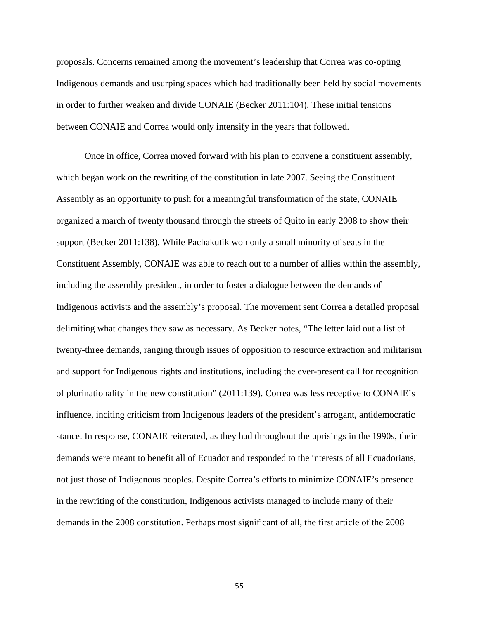proposals. Concerns remained among the movement's leadership that Correa was co-opting Indigenous demands and usurping spaces which had traditionally been held by social movements in order to further weaken and divide CONAIE (Becker 2011:104). These initial tensions between CONAIE and Correa would only intensify in the years that followed.

Once in office, Correa moved forward with his plan to convene a constituent assembly, which began work on the rewriting of the constitution in late 2007. Seeing the Constituent Assembly as an opportunity to push for a meaningful transformation of the state, CONAIE organized a march of twenty thousand through the streets of Quito in early 2008 to show their support (Becker 2011:138). While Pachakutik won only a small minority of seats in the Constituent Assembly, CONAIE was able to reach out to a number of allies within the assembly, including the assembly president, in order to foster a dialogue between the demands of Indigenous activists and the assembly's proposal. The movement sent Correa a detailed proposal delimiting what changes they saw as necessary. As Becker notes, "The letter laid out a list of twenty-three demands, ranging through issues of opposition to resource extraction and militarism and support for Indigenous rights and institutions, including the ever-present call for recognition of plurinationality in the new constitution" (2011:139). Correa was less receptive to CONAIE's influence, inciting criticism from Indigenous leaders of the president's arrogant, antidemocratic stance. In response, CONAIE reiterated, as they had throughout the uprisings in the 1990s, their demands were meant to benefit all of Ecuador and responded to the interests of all Ecuadorians, not just those of Indigenous peoples. Despite Correa's efforts to minimize CONAIE's presence in the rewriting of the constitution, Indigenous activists managed to include many of their demands in the 2008 constitution. Perhaps most significant of all, the first article of the 2008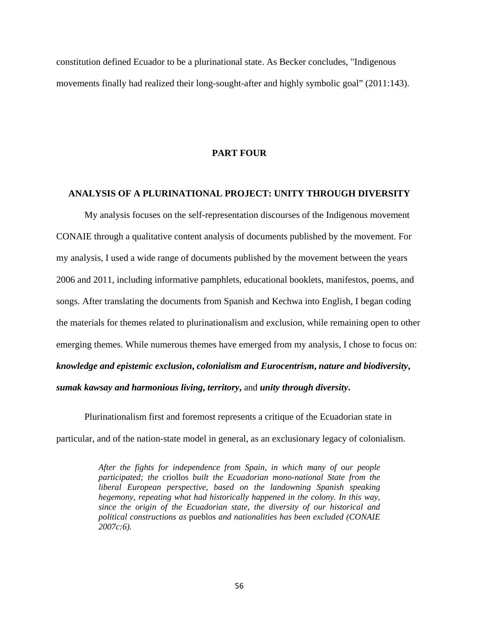constitution defined Ecuador to be a plurinational state. As Becker concludes, "Indigenous movements finally had realized their long-sought-after and highly symbolic goal" (2011:143).

#### **PART FOUR**

## **ANALYSIS OF A PLURINATIONAL PROJECT: UNITY THROUGH DIVERSITY**

My analysis focuses on the self-representation discourses of the Indigenous movement CONAIE through a qualitative content analysis of documents published by the movement. For my analysis, I used a wide range of documents published by the movement between the years 2006 and 2011, including informative pamphlets, educational booklets, manifestos, poems, and songs. After translating the documents from Spanish and Kechwa into English, I began coding the materials for themes related to plurinationalism and exclusion, while remaining open to other emerging themes. While numerous themes have emerged from my analysis, I chose to focus on: *knowledge and epistemic exclusion***,** *colonialism and Eurocentrism***,** *nature and biodiversity***,**  *sumak kawsay and harmonious living***,** *territory***,** and *unity through diversity***.**

Plurinationalism first and foremost represents a critique of the Ecuadorian state in particular, and of the nation-state model in general, as an exclusionary legacy of colonialism.

> *After the fights for independence from Spain, in which many of our people participated; the* criollos *built the Ecuadorian mono-national State from the liberal European perspective, based on the landowning Spanish speaking hegemony, repeating what had historically happened in the colony. In this way, since the origin of the Ecuadorian state, the diversity of our historical and political constructions as* pueblos *and nationalities has been excluded (CONAIE 2007c:6).*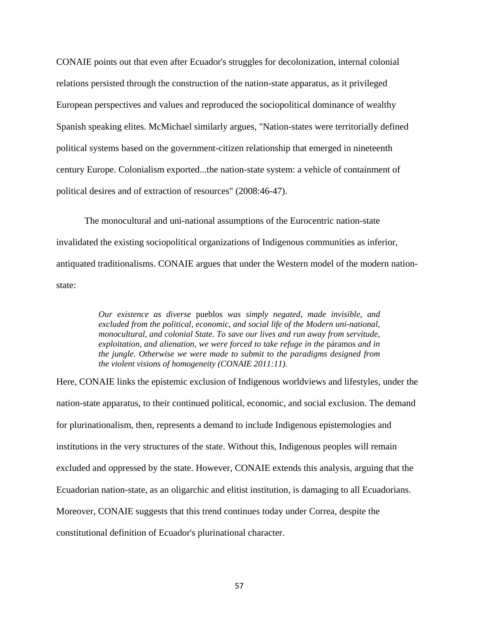CONAIE points out that even after Ecuador's struggles for decolonization, internal colonial relations persisted through the construction of the nation-state apparatus, as it privileged European perspectives and values and reproduced the sociopolitical dominance of wealthy Spanish speaking elites. McMichael similarly argues, "Nation-states were territorially defined political systems based on the government-citizen relationship that emerged in nineteenth century Europe. Colonialism exported...the nation-state system: a vehicle of containment of political desires and of extraction of resources" (2008:46-47).

The monocultural and uni-national assumptions of the Eurocentric nation-state invalidated the existing sociopolitical organizations of Indigenous communities as inferior, antiquated traditionalisms. CONAIE argues that under the Western model of the modern nationstate:

> *Our existence as diverse* pueblos *was simply negated, made invisible, and excluded from the political, economic, and social life of the Modern uni-national, monocultural, and colonial State. To save our lives and run away from servitude, exploitation, and alienation, we were forced to take refuge in the* páramos *and in the jungle. Otherwise we were made to submit to the paradigms designed from the violent visions of homogeneity (CONAIE 2011:11).*

Here, CONAIE links the epistemic exclusion of Indigenous worldviews and lifestyles, under the nation-state apparatus, to their continued political, economic, and social exclusion. The demand for plurinationalism, then, represents a demand to include Indigenous epistemologies and institutions in the very structures of the state. Without this, Indigenous peoples will remain excluded and oppressed by the state. However, CONAIE extends this analysis, arguing that the Ecuadorian nation-state, as an oligarchic and elitist institution, is damaging to all Ecuadorians. Moreover, CONAIE suggests that this trend continues today under Correa, despite the constitutional definition of Ecuador's plurinational character.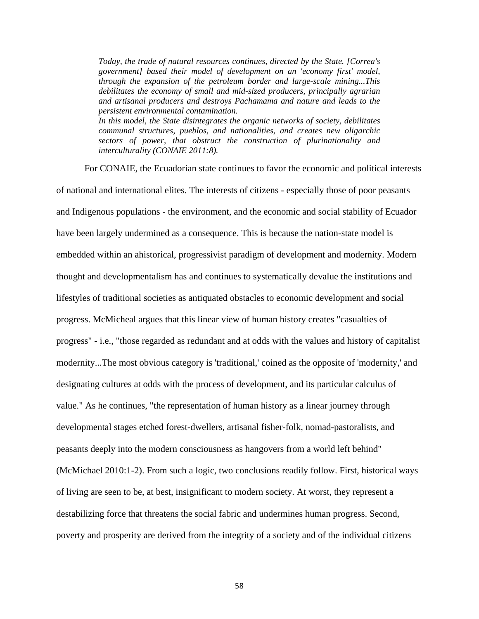*Today, the trade of natural resources continues, directed by the State. [Correa's government] based their model of development on an 'economy first' model, through the expansion of the petroleum border and large-scale mining...This debilitates the economy of small and mid-sized producers, principally agrarian and artisanal producers and destroys Pachamama and nature and leads to the persistent environmental contamination. In this model, the State disintegrates the organic networks of society, debilitates* 

*communal structures, pueblos, and nationalities, and creates new oligarchic sectors of power, that obstruct the construction of plurinationality and interculturality (CONAIE 2011:8).*

For CONAIE, the Ecuadorian state continues to favor the economic and political interests of national and international elites. The interests of citizens - especially those of poor peasants and Indigenous populations - the environment, and the economic and social stability of Ecuador have been largely undermined as a consequence. This is because the nation-state model is embedded within an ahistorical, progressivist paradigm of development and modernity. Modern thought and developmentalism has and continues to systematically devalue the institutions and lifestyles of traditional societies as antiquated obstacles to economic development and social progress. McMicheal argues that this linear view of human history creates "casualties of progress" - i.e., "those regarded as redundant and at odds with the values and history of capitalist modernity...The most obvious category is 'traditional,' coined as the opposite of 'modernity,' and designating cultures at odds with the process of development, and its particular calculus of value." As he continues, "the representation of human history as a linear journey through developmental stages etched forest-dwellers, artisanal fisher-folk, nomad-pastoralists, and peasants deeply into the modern consciousness as hangovers from a world left behind" (McMichael 2010:1-2). From such a logic, two conclusions readily follow. First, historical ways of living are seen to be, at best, insignificant to modern society. At worst, they represent a destabilizing force that threatens the social fabric and undermines human progress. Second, poverty and prosperity are derived from the integrity of a society and of the individual citizens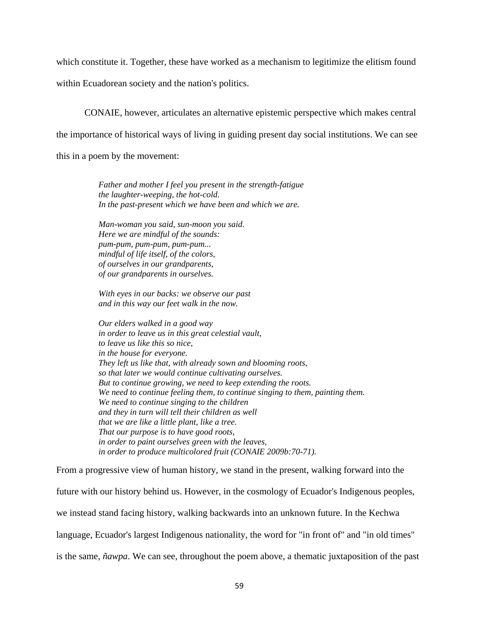which constitute it. Together, these have worked as a mechanism to legitimize the elitism found

within Ecuadorean society and the nation's politics.

CONAIE, however, articulates an alternative epistemic perspective which makes central the importance of historical ways of living in guiding present day social institutions. We can see this in a poem by the movement:

> *Father and mother I feel you present in the strength-fatigue the laughter-weeping, the hot-cold. In the past-present which we have been and which we are.*

*Man-woman you said, sun-moon you said. Here we are mindful of the sounds: pum-pum, pum-pum, pum-pum... mindful of life itself, of the colors, of ourselves in our grandparents, of our grandparents in ourselves.*

*With eyes in our backs: we observe our past and in this way our feet walk in the now.*

*Our elders walked in a good way in order to leave us in this great celestial vault, to leave us like this so nice, in the house for everyone. They left us like that, with already sown and blooming roots, so that later we would continue cultivating ourselves. But to continue growing, we need to keep extending the roots. We need to continue feeling them, to continue singing to them, painting them. We need to continue singing to the children and they in turn will tell their children as well that we are like a little plant, like a tree. That our purpose is to have good roots, in order to paint ourselves green with the leaves, in order to produce multicolored fruit (CONAIE 2009b:70-71).*

From a progressive view of human history, we stand in the present, walking forward into the future with our history behind us. However, in the cosmology of Ecuador's Indigenous peoples, we instead stand facing history, walking backwards into an unknown future. In the Kechwa language, Ecuador's largest Indigenous nationality, the word for "in front of" and "in old times" is the same, *ñawpa*. We can see, throughout the poem above, a thematic juxtaposition of the past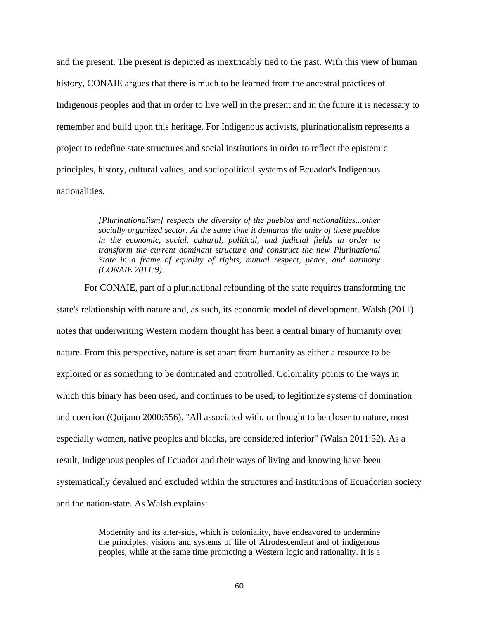and the present. The present is depicted as inextricably tied to the past. With this view of human history, CONAIE argues that there is much to be learned from the ancestral practices of Indigenous peoples and that in order to live well in the present and in the future it is necessary to remember and build upon this heritage. For Indigenous activists, plurinationalism represents a project to redefine state structures and social institutions in order to reflect the epistemic principles, history, cultural values, and sociopolitical systems of Ecuador's Indigenous nationalities.

> *[Plurinationalism] respects the diversity of the pueblos and nationalities...other socially organized sector. At the same time it demands the unity of these pueblos in the economic, social, cultural, political, and judicial fields in order to transform the current dominant structure and construct the new Plurinational State in a frame of equality of rights, mutual respect, peace, and harmony (CONAIE 2011:9).*

For CONAIE, part of a plurinational refounding of the state requires transforming the state's relationship with nature and, as such, its economic model of development. Walsh (2011) notes that underwriting Western modern thought has been a central binary of humanity over nature. From this perspective, nature is set apart from humanity as either a resource to be exploited or as something to be dominated and controlled. Coloniality points to the ways in which this binary has been used, and continues to be used, to legitimize systems of domination and coercion (Quijano 2000:556). "All associated with, or thought to be closer to nature, most especially women, native peoples and blacks, are considered inferior" (Walsh 2011:52). As a result, Indigenous peoples of Ecuador and their ways of living and knowing have been systematically devalued and excluded within the structures and institutions of Ecuadorian society and the nation-state. As Walsh explains:

> Modernity and its alter-side, which is coloniality, have endeavored to undermine the principles, visions and systems of life of Afrodescendent and of indigenous peoples, while at the same time promoting a Western logic and rationality. It is a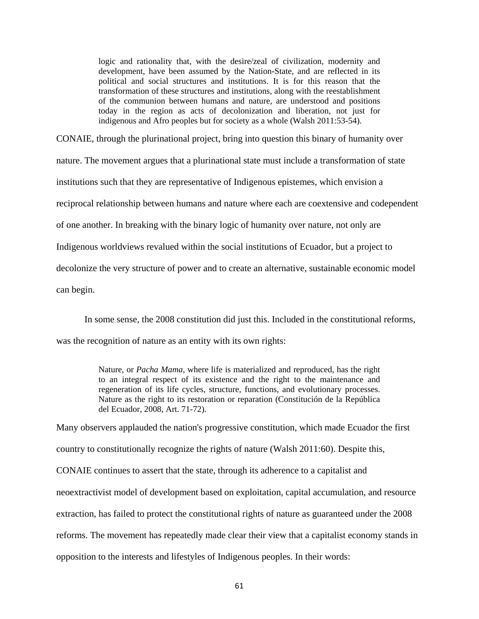logic and rationality that, with the desire/zeal of civilization, modernity and development, have been assumed by the Nation-State, and are reflected in its political and social structures and institutions. It is for this reason that the transformation of these structures and institutions, along with the reestablishment of the communion between humans and nature, are understood and positions today in the region as acts of decolonization and liberation, not just for indigenous and Afro peoples but for society as a whole (Walsh 2011:53-54).

CONAIE, through the plurinational project, bring into question this binary of humanity over nature. The movement argues that a plurinational state must include a transformation of state institutions such that they are representative of Indigenous epistemes, which envision a reciprocal relationship between humans and nature where each are coextensive and codependent of one another. In breaking with the binary logic of humanity over nature, not only are Indigenous worldviews revalued within the social institutions of Ecuador, but a project to decolonize the very structure of power and to create an alternative, sustainable economic model can begin.

In some sense, the 2008 constitution did just this. Included in the constitutional reforms, was the recognition of nature as an entity with its own rights:

> Nature, or *Pacha Mama*, where life is materialized and reproduced, has the right to an integral respect of its existence and the right to the maintenance and regeneration of its life cycles, structure, functions, and evolutionary processes. Nature as the right to its restoration or reparation (Constitución de la República del Ecuador, 2008, Art. 71-72).

Many observers applauded the nation's progressive constitution, which made Ecuador the first country to constitutionally recognize the rights of nature (Walsh 2011:60). Despite this, CONAIE continues to assert that the state, through its adherence to a capitalist and neoextractivist model of development based on exploitation, capital accumulation, and resource extraction, has failed to protect the constitutional rights of nature as guaranteed under the 2008 reforms. The movement has repeatedly made clear their view that a capitalist economy stands in opposition to the interests and lifestyles of Indigenous peoples. In their words: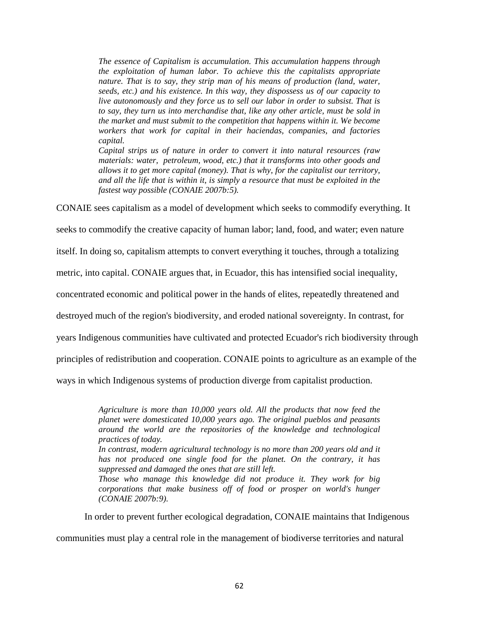*The essence of Capitalism is accumulation. This accumulation happens through the exploitation of human labor. To achieve this the capitalists appropriate nature. That is to say, they strip man of his means of production (land, water, seeds, etc.) and his existence. In this way, they dispossess us of our capacity to live autonomously and they force us to sell our labor in order to subsist. That is to say, they turn us into merchandise that, like any other article, must be sold in the market and must submit to the competition that happens within it. We become workers that work for capital in their haciendas, companies, and factories capital.*

*Capital strips us of nature in order to convert it into natural resources (raw materials: water, petroleum, wood, etc.) that it transforms into other goods and allows it to get more capital (money). That is why, for the capitalist our territory, and all the life that is within it, is simply a resource that must be exploited in the fastest way possible (CONAIE 2007b:5).*

CONAIE sees capitalism as a model of development which seeks to commodify everything. It

seeks to commodify the creative capacity of human labor; land, food, and water; even nature

itself. In doing so, capitalism attempts to convert everything it touches, through a totalizing

metric, into capital. CONAIE argues that, in Ecuador, this has intensified social inequality,

concentrated economic and political power in the hands of elites, repeatedly threatened and

destroyed much of the region's biodiversity, and eroded national sovereignty. In contrast, for

years Indigenous communities have cultivated and protected Ecuador's rich biodiversity through

principles of redistribution and cooperation. CONAIE points to agriculture as an example of the

ways in which Indigenous systems of production diverge from capitalist production.

*Agriculture is more than 10,000 years old. All the products that now feed the planet were domesticated 10,000 years ago. The original pueblos and peasants around the world are the repositories of the knowledge and technological practices of today.*

*In contrast, modern agricultural technology is no more than 200 years old and it has not produced one single food for the planet. On the contrary, it has suppressed and damaged the ones that are still left.*

*Those who manage this knowledge did not produce it. They work for big corporations that make business off of food or prosper on world's hunger (CONAIE 2007b:9).*

In order to prevent further ecological degradation, CONAIE maintains that Indigenous

communities must play a central role in the management of biodiverse territories and natural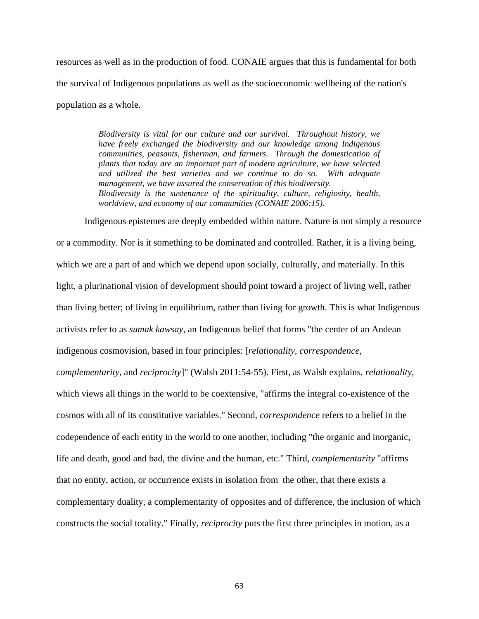resources as well as in the production of food. CONAIE argues that this is fundamental for both the survival of Indigenous populations as well as the socioeconomic wellbeing of the nation's population as a whole.

> *Biodiversity is vital for our culture and our survival. Throughout history, we have freely exchanged the biodiversity and our knowledge among Indigenous communities, peasants, fisherman, and farmers. Through the domestication of plants that today are an important part of modern agriculture, we have selected and utilized the best varieties and we continue to do so. With adequate management, we have assured the conservation of this biodiversity. Biodiversity is the sustenance of the spirituality, culture, religiosity, health, worldview, and economy of our communities (CONAIE 2006:15).*

Indigenous epistemes are deeply embedded within nature. Nature is not simply a resource or a commodity. Nor is it something to be dominated and controlled. Rather, it is a living being, which we are a part of and which we depend upon socially, culturally, and materially. In this light, a plurinational vision of development should point toward a project of living well, rather than living better; of living in equilibrium, rather than living for growth. This is what Indigenous activists refer to as *sumak kawsay*, an Indigenous belief that forms "the center of an Andean indigenous cosmovision, based in four principles: [*relationality, correspondence, complementarity,* and *reciprocity*]" (Walsh 2011:54-55). First, as Walsh explains, *relationality,* which views all things in the world to be coextensive, "affirms the integral co-existence of the cosmos with all of its constitutive variables." Second, *correspondence* refers to a belief in the codependence of each entity in the world to one another, including "the organic and inorganic, life and death, good and bad, the divine and the human, etc." Third, *complementarity* "affirms that no entity, action, or occurrence exists in isolation from the other, that there exists a complementary duality, a complementarity of opposites and of difference, the inclusion of which constructs the social totality." Finally, *reciprocity* puts the first three principles in motion, as a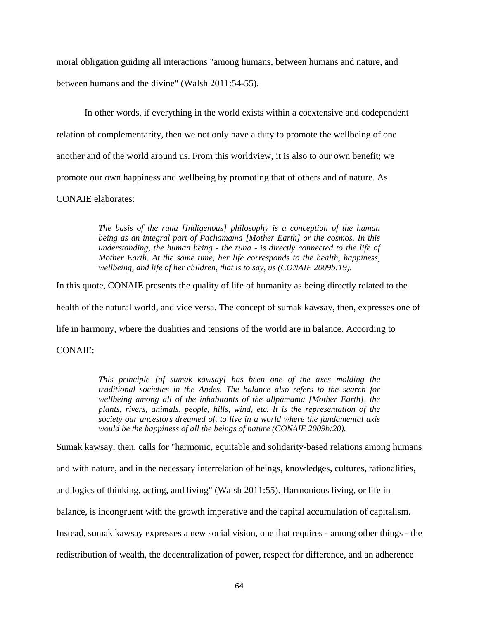moral obligation guiding all interactions "among humans, between humans and nature, and between humans and the divine" (Walsh 2011:54-55).

In other words, if everything in the world exists within a coextensive and codependent relation of complementarity, then we not only have a duty to promote the wellbeing of one another and of the world around us. From this worldview, it is also to our own benefit; we promote our own happiness and wellbeing by promoting that of others and of nature. As CONAIE elaborates:

> *The basis of the runa [Indigenous] philosophy is a conception of the human being as an integral part of Pachamama [Mother Earth] or the cosmos. In this understanding, the human being - the runa - is directly connected to the life of Mother Earth. At the same time, her life corresponds to the health, happiness, wellbeing, and life of her children, that is to say, us (CONAIE 2009b:19).*

In this quote, CONAIE presents the quality of life of humanity as being directly related to the

health of the natural world, and vice versa. The concept of sumak kawsay, then, expresses one of

life in harmony, where the dualities and tensions of the world are in balance. According to

CONAIE:

*This principle [of sumak kawsay] has been one of the axes molding the traditional societies in the Andes. The balance also refers to the search for wellbeing among all of the inhabitants of the allpamama [Mother Earth], the plants, rivers, animals, people, hills, wind, etc. It is the representation of the society our ancestors dreamed of, to live in a world where the fundamental axis would be the happiness of all the beings of nature (CONAIE 2009b:20).*

Sumak kawsay, then, calls for "harmonic, equitable and solidarity-based relations among humans and with nature, and in the necessary interrelation of beings, knowledges, cultures, rationalities, and logics of thinking, acting, and living" (Walsh 2011:55). Harmonious living, or life in balance, is incongruent with the growth imperative and the capital accumulation of capitalism. Instead, sumak kawsay expresses a new social vision, one that requires - among other things - the redistribution of wealth, the decentralization of power, respect for difference, and an adherence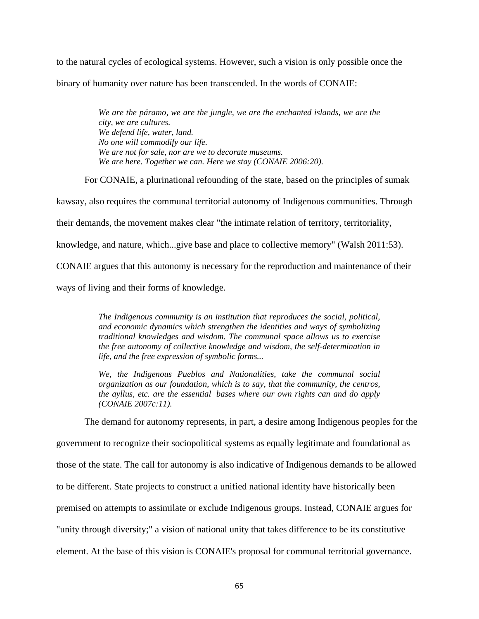to the natural cycles of ecological systems. However, such a vision is only possible once the binary of humanity over nature has been transcended. In the words of CONAIE:

> *We are the páramo, we are the jungle, we are the enchanted islands, we are the city, we are cultures. We defend life, water, land. No one will commodify our life. We are not for sale, nor are we to decorate museums. We are here. Together we can. Here we stay (CONAIE 2006:20).*

For CONAIE, a plurinational refounding of the state, based on the principles of sumak kawsay, also requires the communal territorial autonomy of Indigenous communities. Through their demands, the movement makes clear "the intimate relation of territory, territoriality, knowledge, and nature, which...give base and place to collective memory" (Walsh 2011:53). CONAIE argues that this autonomy is necessary for the reproduction and maintenance of their ways of living and their forms of knowledge.

> *The Indigenous community is an institution that reproduces the social, political, and economic dynamics which strengthen the identities and ways of symbolizing traditional knowledges and wisdom. The communal space allows us to exercise the free autonomy of collective knowledge and wisdom, the self-determination in life, and the free expression of symbolic forms...*

> *We, the Indigenous Pueblos and Nationalities, take the communal social organization as our foundation, which is to say, that the community, the centros, the ayllus, etc. are the essential bases where our own rights can and do apply (CONAIE 2007c:11).*

The demand for autonomy represents, in part, a desire among Indigenous peoples for the

government to recognize their sociopolitical systems as equally legitimate and foundational as those of the state. The call for autonomy is also indicative of Indigenous demands to be allowed to be different. State projects to construct a unified national identity have historically been premised on attempts to assimilate or exclude Indigenous groups. Instead, CONAIE argues for "unity through diversity;" a vision of national unity that takes difference to be its constitutive element. At the base of this vision is CONAIE's proposal for communal territorial governance.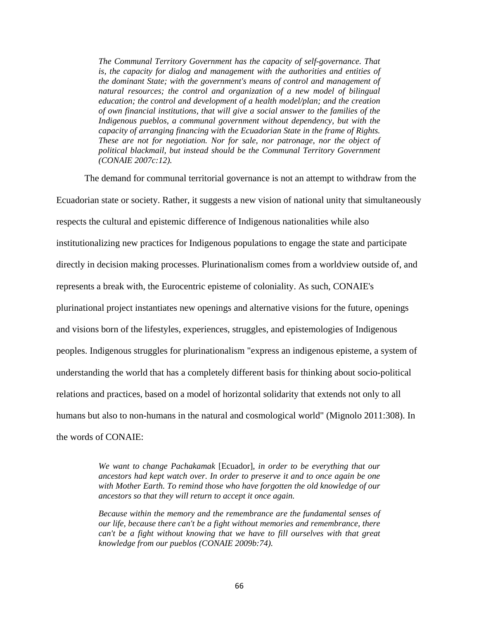*The Communal Territory Government has the capacity of self-governance. That is, the capacity for dialog and management with the authorities and entities of the dominant State; with the government's means of control and management of natural resources; the control and organization of a new model of bilingual education; the control and development of a health model/plan; and the creation of own financial institutions, that will give a social answer to the families of the Indigenous pueblos, a communal government without dependency, but with the capacity of arranging financing with the Ecuadorian State in the frame of Rights. These are not for negotiation. Nor for sale, nor patronage, nor the object of political blackmail, but instead should be the Communal Territory Government (CONAIE 2007c:12).*

The demand for communal territorial governance is not an attempt to withdraw from the Ecuadorian state or society. Rather, it suggests a new vision of national unity that simultaneously respects the cultural and epistemic difference of Indigenous nationalities while also institutionalizing new practices for Indigenous populations to engage the state and participate directly in decision making processes. Plurinationalism comes from a worldview outside of, and represents a break with, the Eurocentric episteme of coloniality. As such, CONAIE's plurinational project instantiates new openings and alternative visions for the future, openings and visions born of the lifestyles, experiences, struggles, and epistemologies of Indigenous peoples. Indigenous struggles for plurinationalism "express an indigenous episteme, a system of understanding the world that has a completely different basis for thinking about socio-political relations and practices, based on a model of horizontal solidarity that extends not only to all humans but also to non-humans in the natural and cosmological world" (Mignolo 2011:308). In the words of CONAIE:

> *We want to change Pachakamak* [Ecuador]*, in order to be everything that our ancestors had kept watch over. In order to preserve it and to once again be one with Mother Earth. To remind those who have forgotten the old knowledge of our ancestors so that they will return to accept it once again.*

> *Because within the memory and the remembrance are the fundamental senses of our life, because there can't be a fight without memories and remembrance, there can't be a fight without knowing that we have to fill ourselves with that great knowledge from our pueblos (CONAIE 2009b:74).*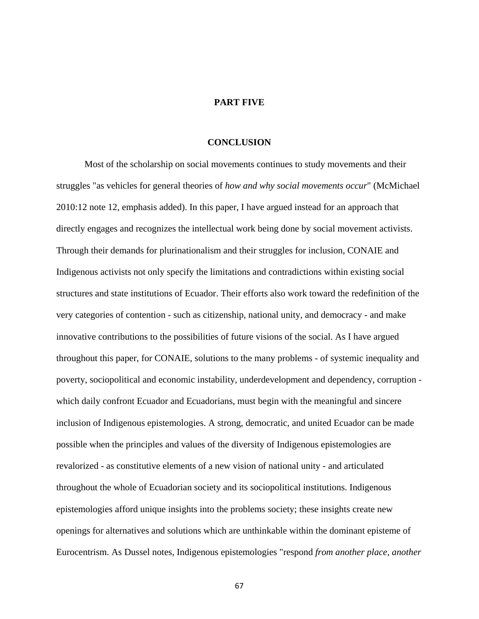## **PART FIVE**

## **CONCLUSION**

Most of the scholarship on social movements continues to study movements and their struggles "as vehicles for general theories of *how and why social movements occur*" (McMichael 2010:12 note 12, emphasis added). In this paper, I have argued instead for an approach that directly engages and recognizes the intellectual work being done by social movement activists. Through their demands for plurinationalism and their struggles for inclusion, CONAIE and Indigenous activists not only specify the limitations and contradictions within existing social structures and state institutions of Ecuador. Their efforts also work toward the redefinition of the very categories of contention - such as citizenship, national unity, and democracy - and make innovative contributions to the possibilities of future visions of the social. As I have argued throughout this paper, for CONAIE, solutions to the many problems - of systemic inequality and poverty, sociopolitical and economic instability, underdevelopment and dependency, corruption which daily confront Ecuador and Ecuadorians, must begin with the meaningful and sincere inclusion of Indigenous epistemologies. A strong, democratic, and united Ecuador can be made possible when the principles and values of the diversity of Indigenous epistemologies are revalorized - as constitutive elements of a new vision of national unity - and articulated throughout the whole of Ecuadorian society and its sociopolitical institutions. Indigenous epistemologies afford unique insights into the problems society; these insights create new openings for alternatives and solutions which are unthinkable within the dominant episteme of Eurocentrism. As Dussel notes, Indigenous epistemologies "respond *from another place, another*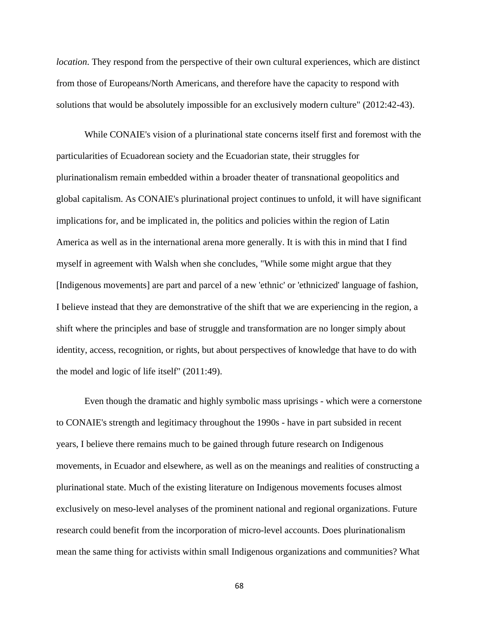*location*. They respond from the perspective of their own cultural experiences, which are distinct from those of Europeans/North Americans, and therefore have the capacity to respond with solutions that would be absolutely impossible for an exclusively modern culture" (2012:42-43).

While CONAIE's vision of a plurinational state concerns itself first and foremost with the particularities of Ecuadorean society and the Ecuadorian state, their struggles for plurinationalism remain embedded within a broader theater of transnational geopolitics and global capitalism. As CONAIE's plurinational project continues to unfold, it will have significant implications for, and be implicated in, the politics and policies within the region of Latin America as well as in the international arena more generally. It is with this in mind that I find myself in agreement with Walsh when she concludes, "While some might argue that they [Indigenous movements] are part and parcel of a new 'ethnic' or 'ethnicized' language of fashion, I believe instead that they are demonstrative of the shift that we are experiencing in the region, a shift where the principles and base of struggle and transformation are no longer simply about identity, access, recognition, or rights, but about perspectives of knowledge that have to do with the model and logic of life itself" (2011:49).

Even though the dramatic and highly symbolic mass uprisings - which were a cornerstone to CONAIE's strength and legitimacy throughout the 1990s - have in part subsided in recent years, I believe there remains much to be gained through future research on Indigenous movements, in Ecuador and elsewhere, as well as on the meanings and realities of constructing a plurinational state. Much of the existing literature on Indigenous movements focuses almost exclusively on meso-level analyses of the prominent national and regional organizations. Future research could benefit from the incorporation of micro-level accounts. Does plurinationalism mean the same thing for activists within small Indigenous organizations and communities? What

68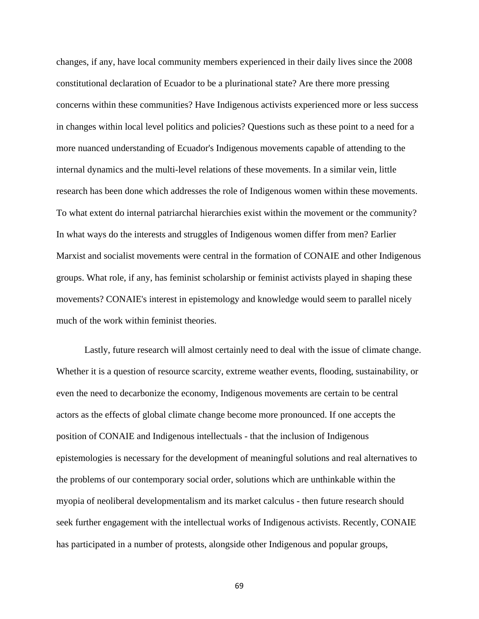changes, if any, have local community members experienced in their daily lives since the 2008 constitutional declaration of Ecuador to be a plurinational state? Are there more pressing concerns within these communities? Have Indigenous activists experienced more or less success in changes within local level politics and policies? Questions such as these point to a need for a more nuanced understanding of Ecuador's Indigenous movements capable of attending to the internal dynamics and the multi-level relations of these movements. In a similar vein, little research has been done which addresses the role of Indigenous women within these movements. To what extent do internal patriarchal hierarchies exist within the movement or the community? In what ways do the interests and struggles of Indigenous women differ from men? Earlier Marxist and socialist movements were central in the formation of CONAIE and other Indigenous groups. What role, if any, has feminist scholarship or feminist activists played in shaping these movements? CONAIE's interest in epistemology and knowledge would seem to parallel nicely much of the work within feminist theories.

Lastly, future research will almost certainly need to deal with the issue of climate change. Whether it is a question of resource scarcity, extreme weather events, flooding, sustainability, or even the need to decarbonize the economy, Indigenous movements are certain to be central actors as the effects of global climate change become more pronounced. If one accepts the position of CONAIE and Indigenous intellectuals - that the inclusion of Indigenous epistemologies is necessary for the development of meaningful solutions and real alternatives to the problems of our contemporary social order, solutions which are unthinkable within the myopia of neoliberal developmentalism and its market calculus - then future research should seek further engagement with the intellectual works of Indigenous activists. Recently, CONAIE has participated in a number of protests, alongside other Indigenous and popular groups,

69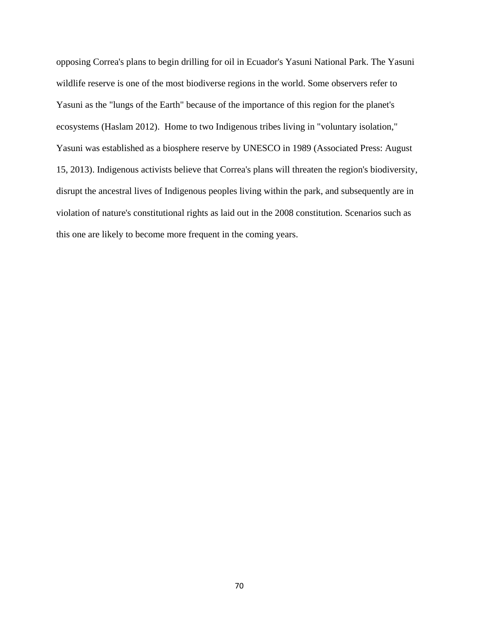opposing Correa's plans to begin drilling for oil in Ecuador's Yasuni National Park. The Yasuni wildlife reserve is one of the most biodiverse regions in the world. Some observers refer to Yasuni as the "lungs of the Earth" because of the importance of this region for the planet's ecosystems (Haslam 2012). Home to two Indigenous tribes living in "voluntary isolation," Yasuni was established as a biosphere reserve by UNESCO in 1989 (Associated Press: August 15, 2013). Indigenous activists believe that Correa's plans will threaten the region's biodiversity, disrupt the ancestral lives of Indigenous peoples living within the park, and subsequently are in violation of nature's constitutional rights as laid out in the 2008 constitution. Scenarios such as this one are likely to become more frequent in the coming years.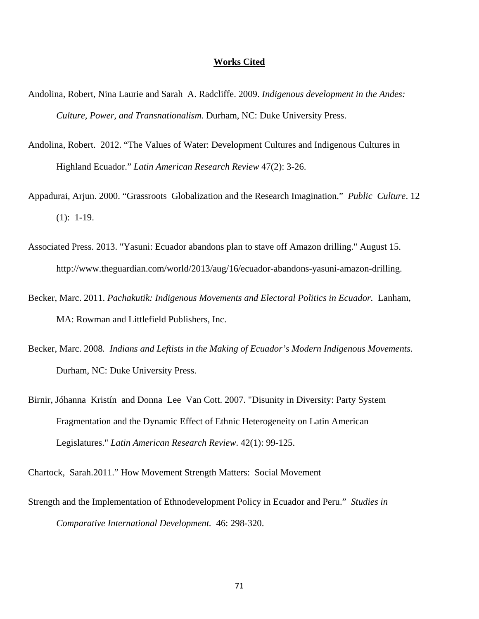## **Works Cited**

- Andolina, Robert, Nina Laurie and Sarah A. Radcliffe. 2009. *Indigenous development in the Andes: Culture, Power, and Transnationalism.* Durham, NC: Duke University Press.
- Andolina, Robert. 2012. "The Values of Water: Development Cultures and Indigenous Cultures in Highland Ecuador." *Latin American Research Review* 47(2): 3-26.
- Appadurai, Arjun. 2000. "Grassroots Globalization and the Research Imagination." *Public Culture*. 12 (1): 1-19.
- Associated Press. 2013. "Yasuni: Ecuador abandons plan to stave off Amazon drilling." August 15. http://www.theguardian.com/world/2013/aug/16/ecuador-abandons-yasuni-amazon-drilling.
- Becker, Marc. 2011. *Pachakutik: Indigenous Movements and Electoral Politics in Ecuador.* Lanham, MA: Rowman and Littlefield Publishers, Inc.
- Becker, Marc. 2008*. Indians and Leftists in the Making of Ecuador's Modern Indigenous Movements.*  Durham, NC: Duke University Press.
- Birnir, Jóhanna Kristín and Donna Lee Van Cott. 2007. "Disunity in Diversity: Party System Fragmentation and the Dynamic Effect of Ethnic Heterogeneity on Latin American Legislatures." *Latin American Research Review*. 42(1): 99-125.
- Chartock, Sarah.2011." How Movement Strength Matters: Social Movement
- Strength and the Implementation of Ethnodevelopment Policy in Ecuador and Peru." *Studies in Comparative International Development.* 46: 298-320.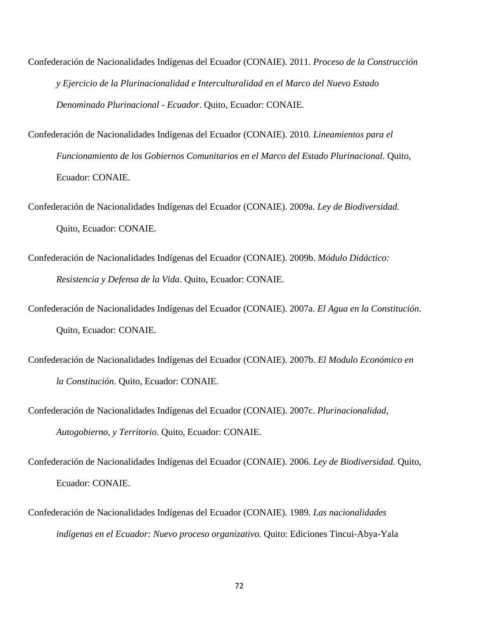- Confederación de Nacionalidades Indígenas del Ecuador (CONAIE). 2011. *Proceso de la Construcción y Ejercicio de la Plurinacionalidad e Interculturalidad en el Marco del Nuevo Estado Denominado Plurinacional - Ecuador*. Quito, Ecuador: CONAIE.
- Confederación de Nacionalidades Indígenas del Ecuador (CONAIE). 2010. *Lineamientos para el Funcionamiento de los Gobiernos Comunitarios en el Marco del Estado Plurinacional*. Quito, Ecuador: CONAIE.
- Confederación de Nacionalidades Indígenas del Ecuador (CONAIE). 2009a. *Ley de Biodiversidad*. Quito, Ecuador: CONAIE.
- Confederación de Nacionalidades Indígenas del Ecuador (CONAIE). 2009b. *Módulo Didáctico: Resistencia y Defensa de la Vida*. Quito, Ecuador: CONAIE.
- Confederación de Nacionalidades Indígenas del Ecuador (CONAIE). 2007a. *El Agua en la Constitución*. Quito, Ecuador: CONAIE.
- Confederación de Nacionalidades Indígenas del Ecuador (CONAIE). 2007b. *El Modulo Económico en la Constitución*. Quito, Ecuador: CONAIE.
- Confederación de Nacionalidades Indígenas del Ecuador (CONAIE). 2007c. *Plurinacionalidad, Autogobierno, y Territorio*. Quito, Ecuador: CONAIE.
- Confederación de Nacionalidades Indígenas del Ecuador (CONAIE). 2006. *Ley de Biodiversidad.* Quito, Ecuador: CONAIE.
- Confederación de Nacionalidades Indígenas del Ecuador (CONAIE). 1989. *Las nacionalidades indígenas en el Ecuador: Nuevo proceso organizativo.* Quito: Ediciones Tincui-Abya-Yala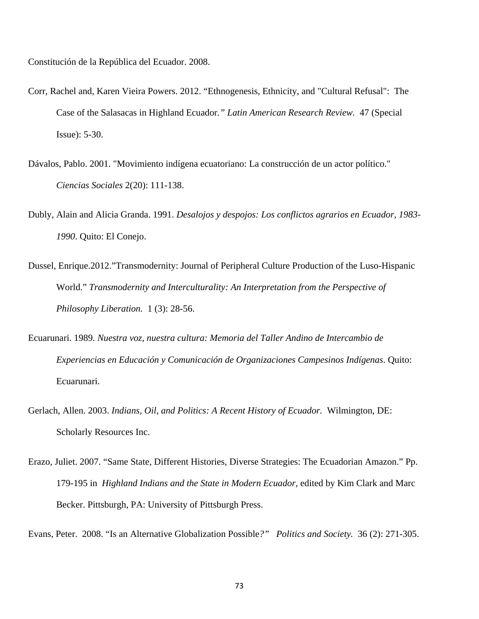Constitución de la República del Ecuador. 2008.

- Corr, Rachel and, Karen Vieira Powers. 2012. "Ethnogenesis, Ethnicity, and "Cultural Refusal": The Case of the Salasacas in Highland Ecuador*." Latin American Research Review.* 47 (Special Issue): 5-30.
- Dávalos, Pablo. 2001. "Movimiento indígena ecuatoriano: La construcción de un actor político." *Ciencias Sociales* 2(20): 111-138.
- Dubly, Alain and Alicia Granda. 1991. *Desalojos y despojos: Los conflictos agrarios en Ecuador, 1983- 1990*. Quito: El Conejo.
- Dussel, Enrique.2012."Transmodernity: Journal of Peripheral Culture Production of the Luso-Hispanic World." *Transmodernity and Interculturality: An Interpretation from the Perspective of Philosophy Liberation.* 1 (3): 28-56.
- Ecuarunari. 1989. *Nuestra voz, nuestra cultura: Memoria del Taller Andino de Intercambio de Experiencias en Educación y Comunicación de Organizaciones Campesinos Indígenas*. Quito: Ecuarunari.
- Gerlach, Allen. 2003. *Indians, Oil, and Politics: A Recent History of Ecuador.* Wilmington, DE: Scholarly Resources Inc.
- Erazo, Juliet. 2007. "Same State, Different Histories, Diverse Strategies: The Ecuadorian Amazon." Pp. 179-195 in *Highland Indians and the State in Modern Ecuador,* edited by Kim Clark and Marc Becker. Pittsburgh, PA: University of Pittsburgh Press.

Evans, Peter. 2008. "Is an Alternative Globalization Possible*?" Politics and Society.* 36 (2): 271-305.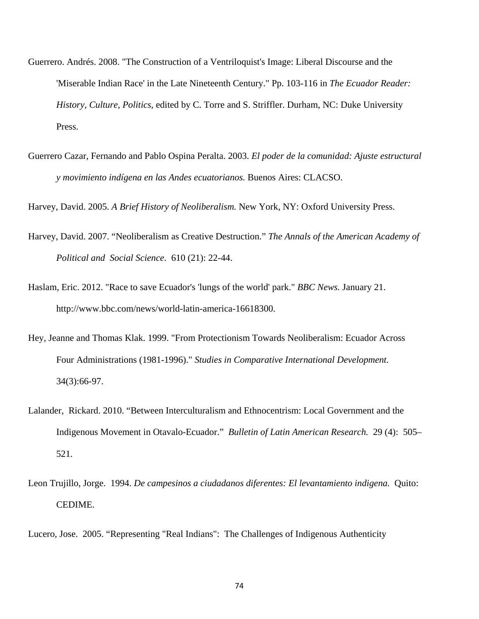- Guerrero. Andrés. 2008. "The Construction of a Ventriloquist's Image: Liberal Discourse and the 'Miserable Indian Race' in the Late Nineteenth Century." Pp. 103-116 in *The Ecuador Reader: History, Culture, Politics*, edited by C. Torre and S. Striffler. Durham, NC: Duke University Press.
- Guerrero Cazar, Fernando and Pablo Ospina Peralta. 2003. *El poder de la comunidad: Ajuste estructural y movimiento indígena en las Andes ecuatorianos.* Buenos Aires: CLACSO.

Harvey, David. 2005. *A Brief History of Neoliberalism.* New York, NY: Oxford University Press.

- Harvey, David. 2007. "Neoliberalism as Creative Destruction." *The Annals of the American Academy of Political and Social Science*. 610 (21): 22-44.
- Haslam, Eric. 2012. "Race to save Ecuador's 'lungs of the world' park." *BBC News.* January 21. http://www.bbc.com/news/world-latin-america-16618300.
- Hey, Jeanne and Thomas Klak. 1999. "From Protectionism Towards Neoliberalism: Ecuador Across Four Administrations (1981-1996)." *Studies in Comparative International Development.* 34(3):66-97.
- Lalander, Rickard. 2010. "Between Interculturalism and Ethnocentrism: Local Government and the Indigenous Movement in Otavalo-Ecuador." *Bulletin of Latin American Research.* 29 (4): 505– 521.
- Leon Trujillo, Jorge. 1994. *De campesinos a ciudadanos diferentes: El levantamiento indigena.* Quito: CEDIME.

Lucero, Jose. 2005. "Representing "Real Indians": The Challenges of Indigenous Authenticity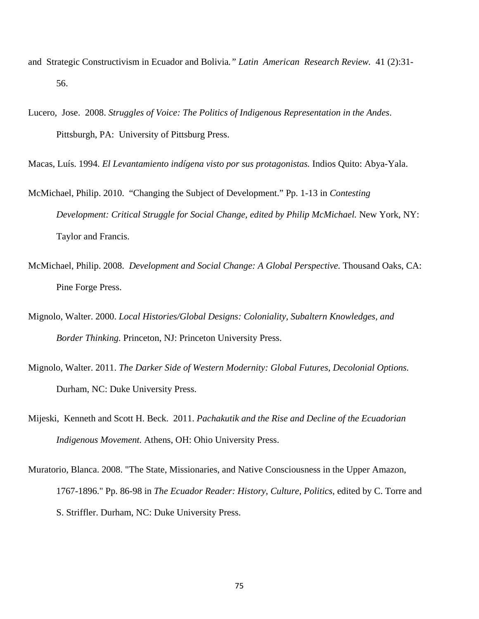- and Strategic Constructivism in Ecuador and Bolivia*." Latin American Research Review.* 41 (2):31- 56.
- Lucero, Jose. 2008. *Struggles of Voice: The Politics of Indigenous Representation in the Andes*. Pittsburgh, PA: University of Pittsburg Press.
- Macas, Luís. 1994. *El Levantamiento indígena visto por sus protagonistas.* Indios Quito: Abya-Yala.
- McMichael, Philip. 2010. "Changing the Subject of Development." Pp. 1-13 in *Contesting Development: Critical Struggle for Social Change, edited by Philip McMichael.* New York, NY: Taylor and Francis.
- McMichael, Philip. 2008. *Development and Social Change: A Global Perspective.* Thousand Oaks, CA: Pine Forge Press.
- Mignolo, Walter. 2000. *Local Histories/Global Designs: Coloniality, Subaltern Knowledges, and Border Thinking.* Princeton, NJ: Princeton University Press.
- Mignolo, Walter. 2011. *The Darker Side of Western Modernity: Global Futures, Decolonial Options.* Durham, NC: Duke University Press.
- Mijeski, Kenneth and Scott H. Beck. 2011. *Pachakutik and the Rise and Decline of the Ecuadorian Indigenous Movement.* Athens, OH: Ohio University Press.
- Muratorio, Blanca. 2008. "The State, Missionaries, and Native Consciousness in the Upper Amazon, 1767-1896." Pp. 86-98 in *The Ecuador Reader: History, Culture, Politics*, edited by C. Torre and S. Striffler. Durham, NC: Duke University Press.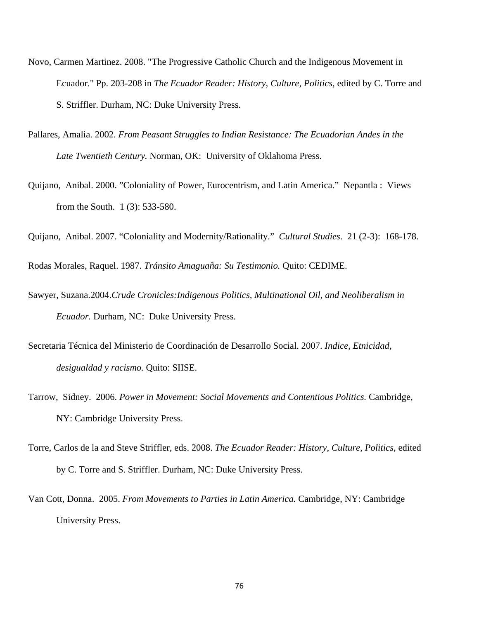- Novo, Carmen Martinez. 2008. "The Progressive Catholic Church and the Indigenous Movement in Ecuador." Pp. 203-208 in *The Ecuador Reader: History, Culture, Politics*, edited by C. Torre and S. Striffler. Durham, NC: Duke University Press.
- Pallares, Amalia. 2002. *From Peasant Struggles to Indian Resistance: The Ecuadorian Andes in the Late Twentieth Century.* Norman, OK: University of Oklahoma Press.
- Quijano, Anibal. 2000. "Coloniality of Power, Eurocentrism, and Latin America." Nepantla : Views from the South. 1 (3): 533-580.

Quijano, Anibal. 2007. "Coloniality and Modernity/Rationality." *Cultural Studies*. 21 (2-3): 168-178.

Rodas Morales, Raquel. 1987. *Tránsito Amaguaña: Su Testimonio.* Quito: CEDIME.

- Sawyer, Suzana.2004.*Crude Cronicles:Indigenous Politics, Multinational Oil, and Neoliberalism in Ecuador.* Durham, NC: Duke University Press.
- Secretaria Técnica del Ministerio de Coordinación de Desarrollo Social. 2007. *Indice, Etnicidad, desigualdad y racismo.* Quito: SIISE.
- Tarrow, Sidney. 2006. *Power in Movement: Social Movements and Contentious Politics.* Cambridge, NY: Cambridge University Press.
- Torre, Carlos de la and Steve Striffler, eds. 2008. *The Ecuador Reader: History, Culture, Politics*, edited by C. Torre and S. Striffler. Durham, NC: Duke University Press.
- Van Cott, Donna. 2005. *From Movements to Parties in Latin America.* Cambridge, NY: Cambridge University Press.